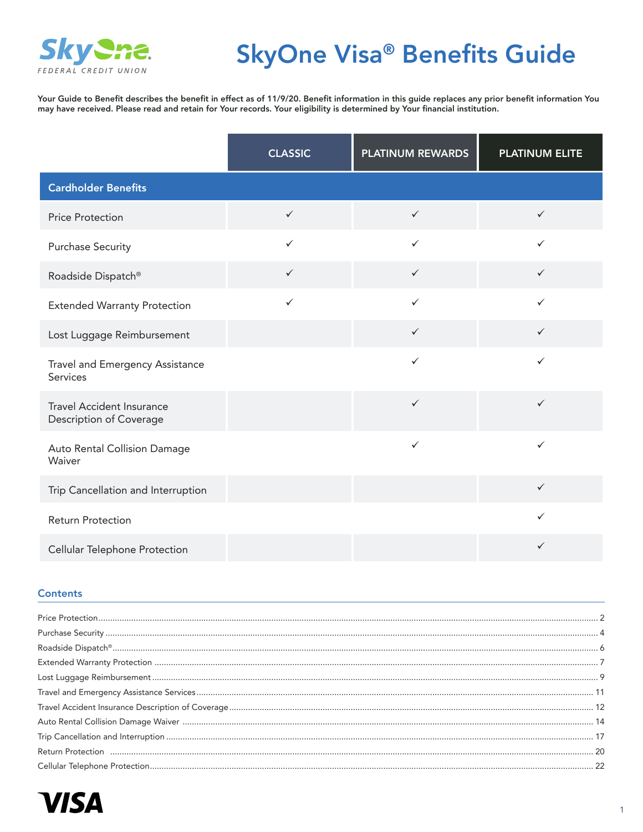

# SkyOne Visa® Benefits Guide

Your Guide to Benefit describes the benefit in effect as of 11/9/20. Benefit information in this guide replaces any prior benefit information You may have received. Please read and retain for Your records. Your eligibility is determined by Your financial institution.

|                                                             | <b>CLASSIC</b> | <b>PLATINUM REWARDS</b> | <b>PLATINUM ELITE</b> |
|-------------------------------------------------------------|----------------|-------------------------|-----------------------|
| <b>Cardholder Benefits</b>                                  |                |                         |                       |
| <b>Price Protection</b>                                     | $\checkmark$   | $\checkmark$            | $\checkmark$          |
| <b>Purchase Security</b>                                    | $\checkmark$   | $\checkmark$            | $\checkmark$          |
| Roadside Dispatch®                                          | $\checkmark$   | $\checkmark$            | $\checkmark$          |
| <b>Extended Warranty Protection</b>                         | $\checkmark$   | $\checkmark$            | $\checkmark$          |
| Lost Luggage Reimbursement                                  |                | $\checkmark$            | $\checkmark$          |
| Travel and Emergency Assistance<br>Services                 |                | $\checkmark$            | $\checkmark$          |
| <b>Travel Accident Insurance</b><br>Description of Coverage |                | $\checkmark$            | $\checkmark$          |
| Auto Rental Collision Damage<br>Waiver                      |                | $\checkmark$            | $\checkmark$          |
| Trip Cancellation and Interruption                          |                |                         | $\checkmark$          |
| <b>Return Protection</b>                                    |                |                         | $\checkmark$          |
| Cellular Telephone Protection                               |                |                         | $\checkmark$          |

### **Contents**

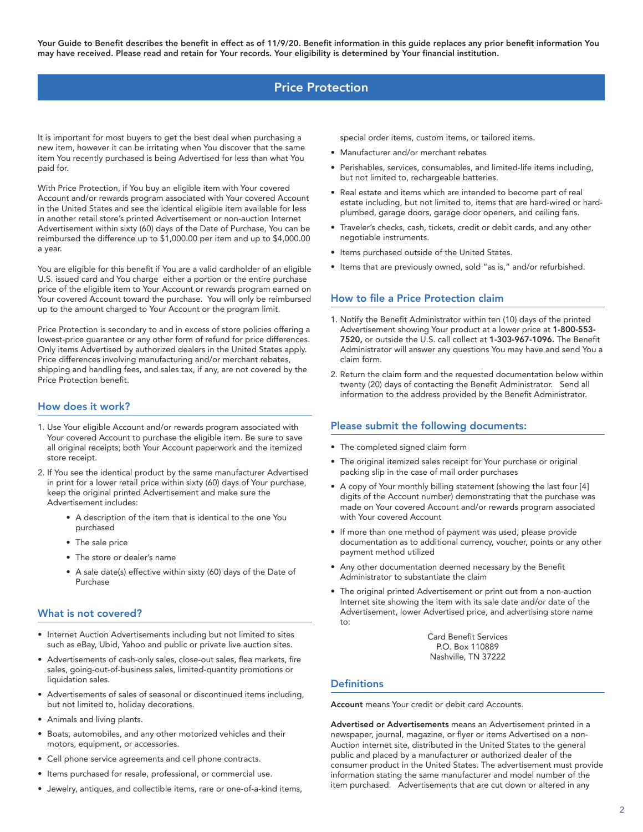# Price Protection

<span id="page-1-0"></span>It is important for most buyers to get the best deal when purchasing a new item, however it can be irritating when You discover that the same item You recently purchased is being Advertised for less than what You paid for.

With Price Protection, if You buy an eligible item with Your covered Account and/or rewards program associated with Your covered Account in the United States and see the identical eligible item available for less in another retail store's printed Advertisement or non-auction Internet Advertisement within sixty (60) days of the Date of Purchase, You can be reimbursed the difference up to \$1,000.00 per item and up to \$4,000.00 a year.

You are eligible for this benefit if You are a valid cardholder of an eligible U.S. issued card and You charge either a portion or the entire purchase price of the eligible item to Your Account or rewards program earned on Your covered Account toward the purchase. You will only be reimbursed up to the amount charged to Your Account or the program limit.

Price Protection is secondary to and in excess of store policies offering a lowest-price guarantee or any other form of refund for price differences. Only items Advertised by authorized dealers in the United States apply. Price differences involving manufacturing and/or merchant rebates, shipping and handling fees, and sales tax, if any, are not covered by the Price Protection benefit.

### How does it work?

- 1. Use Your eligible Account and/or rewards program associated with Your covered Account to purchase the eligible item. Be sure to save all original receipts; both Your Account paperwork and the itemized store receipt.
- 2. If You see the identical product by the same manufacturer Advertised in print for a lower retail price within sixty (60) days of Your purchase, keep the original printed Advertisement and make sure the Advertisement includes:
	- A description of the item that is identical to the one You purchased
	- The sale price
	- The store or dealer's name
	- A sale date(s) effective within sixty (60) days of the Date of Purchase

### What is not covered?

- Internet Auction Advertisements including but not limited to sites such as eBay, Ubid, Yahoo and public or private live auction sites.
- Advertisements of cash-only sales, close-out sales, flea markets, fire sales, going-out-of-business sales, limited-quantity promotions or liquidation sales.
- Advertisements of sales of seasonal or discontinued items including, but not limited to, holiday decorations.
- Animals and living plants.
- Boats, automobiles, and any other motorized vehicles and their motors, equipment, or accessories.
- Cell phone service agreements and cell phone contracts.
- Items purchased for resale, professional, or commercial use.
- Jewelry, antiques, and collectible items, rare or one-of-a-kind items,

special order items, custom items, or tailored items.

- Manufacturer and/or merchant rebates
- Perishables, services, consumables, and limited-life items including, but not limited to, rechargeable batteries.
- Real estate and items which are intended to become part of real estate including, but not limited to, items that are hard-wired or hardplumbed, garage doors, garage door openers, and ceiling fans.
- Traveler's checks, cash, tickets, credit or debit cards, and any other negotiable instruments.
- Items purchased outside of the United States.
- Items that are previously owned, sold "as is," and/or refurbished.

### How to file a Price Protection claim

- 1. Notify the Benefit Administrator within ten (10) days of the printed Advertisement showing Your product at a lower price at 1-800-553- 7520, or outside the U.S. call collect at 1-303-967-1096. The Benefit Administrator will answer any questions You may have and send You a claim form.
- 2. Return the claim form and the requested documentation below within twenty (20) days of contacting the Benefit Administrator. Send all information to the address provided by the Benefit Administrator.

### Please submit the following documents:

- The completed signed claim form
- The original itemized sales receipt for Your purchase or original packing slip in the case of mail order purchases
- A copy of Your monthly billing statement (showing the last four [4] digits of the Account number) demonstrating that the purchase was made on Your covered Account and/or rewards program associated with Your covered Account
- If more than one method of payment was used, please provide documentation as to additional currency, voucher, points or any other payment method utilized
- Any other documentation deemed necessary by the Benefit Administrator to substantiate the claim
- The original printed Advertisement or print out from a non-auction Internet site showing the item with its sale date and/or date of the Advertisement, lower Advertised price, and advertising store name to:

Card Benefit Services P.O. Box 110889 Nashville, TN 37222

### **Definitions**

Account means Your credit or debit card Accounts.

Advertised or Advertisements means an Advertisement printed in a newspaper, journal, magazine, or flyer or items Advertised on a non-Auction internet site, distributed in the United States to the general public and placed by a manufacturer or authorized dealer of the consumer product in the United States. The advertisement must provide information stating the same manufacturer and model number of the item purchased. Advertisements that are cut down or altered in any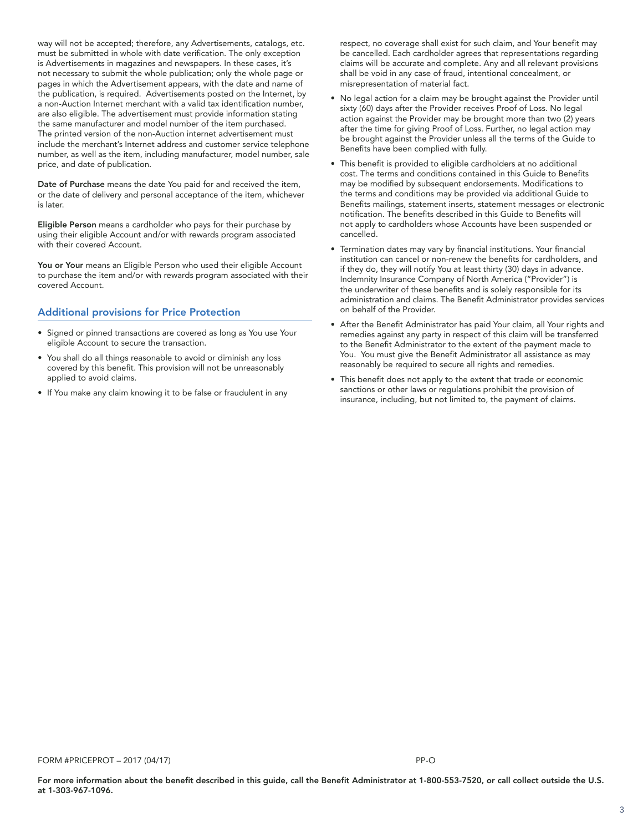way will not be accepted; therefore, any Advertisements, catalogs, etc. must be submitted in whole with date verification. The only exception is Advertisements in magazines and newspapers. In these cases, it's not necessary to submit the whole publication; only the whole page or pages in which the Advertisement appears, with the date and name of the publication, is required. Advertisements posted on the Internet, by a non-Auction Internet merchant with a valid tax identification number, are also eligible. The advertisement must provide information stating the same manufacturer and model number of the item purchased. The printed version of the non-Auction internet advertisement must include the merchant's Internet address and customer service telephone number, as well as the item, including manufacturer, model number, sale price, and date of publication.

Date of Purchase means the date You paid for and received the item, or the date of delivery and personal acceptance of the item, whichever is later.

Eligible Person means a cardholder who pays for their purchase by using their eligible Account and/or with rewards program associated with their covered Account.

You or Your means an Eligible Person who used their eligible Account to purchase the item and/or with rewards program associated with their covered Account.

### Additional provisions for Price Protection

- Signed or pinned transactions are covered as long as You use Your eligible Account to secure the transaction.
- You shall do all things reasonable to avoid or diminish any loss covered by this benefit. This provision will not be unreasonably applied to avoid claims.
- If You make any claim knowing it to be false or fraudulent in any

respect, no coverage shall exist for such claim, and Your benefit may be cancelled. Each cardholder agrees that representations regarding claims will be accurate and complete. Any and all relevant provisions shall be void in any case of fraud, intentional concealment, or misrepresentation of material fact.

- No legal action for a claim may be brought against the Provider until sixty (60) days after the Provider receives Proof of Loss. No legal action against the Provider may be brought more than two (2) years after the time for giving Proof of Loss. Further, no legal action may be brought against the Provider unless all the terms of the Guide to Benefits have been complied with fully.
- This benefit is provided to eligible cardholders at no additional cost. The terms and conditions contained in this Guide to Benefits may be modified by subsequent endorsements. Modifications to the terms and conditions may be provided via additional Guide to Benefits mailings, statement inserts, statement messages or electronic notification. The benefits described in this Guide to Benefits will not apply to cardholders whose Accounts have been suspended or cancelled.
- Termination dates may vary by financial institutions. Your financial institution can cancel or non-renew the benefits for cardholders, and if they do, they will notify You at least thirty (30) days in advance. Indemnity Insurance Company of North America ("Provider") is the underwriter of these benefits and is solely responsible for its administration and claims. The Benefit Administrator provides services on behalf of the Provider.
- After the Benefit Administrator has paid Your claim, all Your rights and remedies against any party in respect of this claim will be transferred to the Benefit Administrator to the extent of the payment made to You. You must give the Benefit Administrator all assistance as may reasonably be required to secure all rights and remedies.
- This benefit does not apply to the extent that trade or economic sanctions or other laws or regulations prohibit the provision of insurance, including, but not limited to, the payment of claims.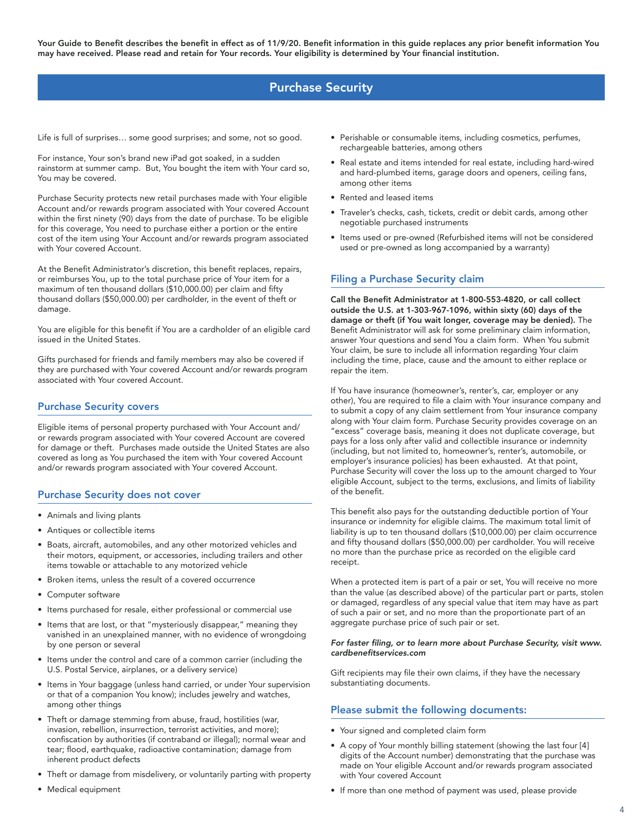# Purchase Security

<span id="page-3-0"></span>Life is full of surprises… some good surprises; and some, not so good.

For instance, Your son's brand new iPad got soaked, in a sudden rainstorm at summer camp. But, You bought the item with Your card so, You may be covered.

Purchase Security protects new retail purchases made with Your eligible Account and/or rewards program associated with Your covered Account within the first ninety (90) days from the date of purchase. To be eligible for this coverage, You need to purchase either a portion or the entire cost of the item using Your Account and/or rewards program associated with Your covered Account.

At the Benefit Administrator's discretion, this benefit replaces, repairs, or reimburses You, up to the total purchase price of Your item for a maximum of ten thousand dollars (\$10,000.00) per claim and fifty thousand dollars (\$50,000.00) per cardholder, in the event of theft or damage.

You are eligible for this benefit if You are a cardholder of an eligible card issued in the United States.

Gifts purchased for friends and family members may also be covered if they are purchased with Your covered Account and/or rewards program associated with Your covered Account.

### Purchase Security covers

Eligible items of personal property purchased with Your Account and/ or rewards program associated with Your covered Account are covered for damage or theft. Purchases made outside the United States are also covered as long as You purchased the item with Your covered Account and/or rewards program associated with Your covered Account.

### Purchase Security does not cover

- Animals and living plants
- Antiques or collectible items
- Boats, aircraft, automobiles, and any other motorized vehicles and their motors, equipment, or accessories, including trailers and other items towable or attachable to any motorized vehicle
- Broken items, unless the result of a covered occurrence
- Computer software
- Items purchased for resale, either professional or commercial use
- Items that are lost, or that "mysteriously disappear," meaning they vanished in an unexplained manner, with no evidence of wrongdoing by one person or several
- Items under the control and care of a common carrier (including the U.S. Postal Service, airplanes, or a delivery service)
- Items in Your baggage (unless hand carried, or under Your supervision or that of a companion You know); includes jewelry and watches, among other things
- Theft or damage stemming from abuse, fraud, hostilities (war, invasion, rebellion, insurrection, terrorist activities, and more); confiscation by authorities (if contraband or illegal); normal wear and tear; flood, earthquake, radioactive contamination; damage from inherent product defects
- Theft or damage from misdelivery, or voluntarily parting with property
- Medical equipment
- Perishable or consumable items, including cosmetics, perfumes, rechargeable batteries, among others
- Real estate and items intended for real estate, including hard-wired and hard-plumbed items, garage doors and openers, ceiling fans, among other items
- Rented and leased items
- Traveler's checks, cash, tickets, credit or debit cards, among other negotiable purchased instruments
- Items used or pre-owned (Refurbished items will not be considered used or pre-owned as long accompanied by a warranty)

### Filing a Purchase Security claim

Call the Benefit Administrator at 1-800-553-4820, or call collect outside the U.S. at 1-303-967-1096, within sixty (60) days of the damage or theft (if You wait longer, coverage may be denied). The Benefit Administrator will ask for some preliminary claim information, answer Your questions and send You a claim form. When You submit Your claim, be sure to include all information regarding Your claim including the time, place, cause and the amount to either replace or repair the item.

If You have insurance (homeowner's, renter's, car, employer or any other), You are required to file a claim with Your insurance company and to submit a copy of any claim settlement from Your insurance company along with Your claim form. Purchase Security provides coverage on an "excess" coverage basis, meaning it does not duplicate coverage, but pays for a loss only after valid and collectible insurance or indemnity (including, but not limited to, homeowner's, renter's, automobile, or employer's insurance policies) has been exhausted. At that point, Purchase Security will cover the loss up to the amount charged to Your eligible Account, subject to the terms, exclusions, and limits of liability of the benefit.

This benefit also pays for the outstanding deductible portion of Your insurance or indemnity for eligible claims. The maximum total limit of liability is up to ten thousand dollars (\$10,000.00) per claim occurrence and fifty thousand dollars (\$50,000.00) per cardholder. You will receive no more than the purchase price as recorded on the eligible card receipt.

When a protected item is part of a pair or set, You will receive no more than the value (as described above) of the particular part or parts, stolen or damaged, regardless of any special value that item may have as part of such a pair or set, and no more than the proportionate part of an aggregate purchase price of such pair or set.

#### For faster filing, or to learn more about Purchase Security, visit www. cardbenefitservices.com

Gift recipients may file their own claims, if they have the necessary substantiating documents.

### Please submit the following documents:

- Your signed and completed claim form
- A copy of Your monthly billing statement (showing the last four [4] digits of the Account number) demonstrating that the purchase was made on Your eligible Account and/or rewards program associated with Your covered Account
- If more than one method of payment was used, please provide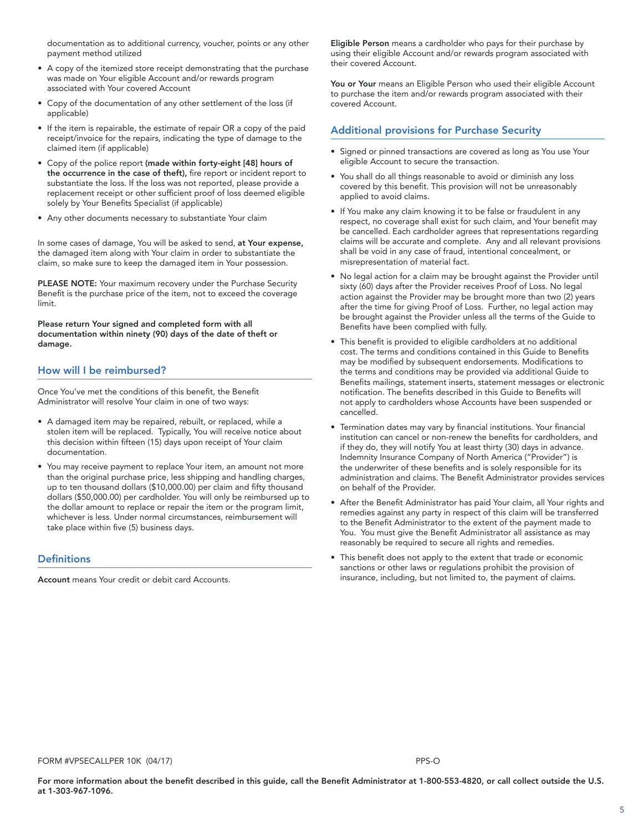documentation as to additional currency, voucher, points or any other payment method utilized

- A copy of the itemized store receipt demonstrating that the purchase was made on Your eligible Account and/or rewards program associated with Your covered Account
- Copy of the documentation of any other settlement of the loss (if applicable)
- If the item is repairable, the estimate of repair OR a copy of the paid receipt/invoice for the repairs, indicating the type of damage to the claimed item (if applicable)
- Copy of the police report (made within forty-eight [48] hours of the occurrence in the case of theft), fire report or incident report to substantiate the loss. If the loss was not reported, please provide a replacement receipt or other sufficient proof of loss deemed eligible solely by Your Benefits Specialist (if applicable)
- Any other documents necessary to substantiate Your claim

In some cases of damage, You will be asked to send, at Your expense, the damaged item along with Your claim in order to substantiate the claim, so make sure to keep the damaged item in Your possession.

PLEASE NOTE: Your maximum recovery under the Purchase Security Benefit is the purchase price of the item, not to exceed the coverage limit.

Please return Your signed and completed form with all documentation within ninety (90) days of the date of theft or damage.

# How will I be reimbursed?

Once You've met the conditions of this benefit, the Benefit Administrator will resolve Your claim in one of two ways:

- A damaged item may be repaired, rebuilt, or replaced, while a stolen item will be replaced. Typically, You will receive notice about this decision within fifteen (15) days upon receipt of Your claim documentation.
- You may receive payment to replace Your item, an amount not more than the original purchase price, less shipping and handling charges, up to ten thousand dollars (\$10,000.00) per claim and fifty thousand dollars (\$50,000.00) per cardholder. You will only be reimbursed up to the dollar amount to replace or repair the item or the program limit, whichever is less. Under normal circumstances, reimbursement will take place within five (5) business days.

### **Definitions**

Account means Your credit or debit card Accounts.

Eligible Person means a cardholder who pays for their purchase by using their eligible Account and/or rewards program associated with their covered Account.

You or Your means an Eligible Person who used their eligible Account to purchase the item and/or rewards program associated with their covered Account.

# Additional provisions for Purchase Security

- Signed or pinned transactions are covered as long as You use Your eligible Account to secure the transaction.
- You shall do all things reasonable to avoid or diminish any loss covered by this benefit. This provision will not be unreasonably applied to avoid claims.
- If You make any claim knowing it to be false or fraudulent in any respect, no coverage shall exist for such claim, and Your benefit may be cancelled. Each cardholder agrees that representations regarding claims will be accurate and complete. Any and all relevant provisions shall be void in any case of fraud, intentional concealment, or misrepresentation of material fact.
- No legal action for a claim may be brought against the Provider until sixty (60) days after the Provider receives Proof of Loss. No legal action against the Provider may be brought more than two (2) years after the time for giving Proof of Loss. Further, no legal action may be brought against the Provider unless all the terms of the Guide to Benefits have been complied with fully.
- This benefit is provided to eligible cardholders at no additional cost. The terms and conditions contained in this Guide to Benefits may be modified by subsequent endorsements. Modifications to the terms and conditions may be provided via additional Guide to Benefits mailings, statement inserts, statement messages or electronic notification. The benefits described in this Guide to Benefits will not apply to cardholders whose Accounts have been suspended or cancelled.
- Termination dates may vary by financial institutions. Your financial institution can cancel or non-renew the benefits for cardholders, and if they do, they will notify You at least thirty (30) days in advance. Indemnity Insurance Company of North America ("Provider") is the underwriter of these benefits and is solely responsible for its administration and claims. The Benefit Administrator provides services on behalf of the Provider.
- After the Benefit Administrator has paid Your claim, all Your rights and remedies against any party in respect of this claim will be transferred to the Benefit Administrator to the extent of the payment made to You. You must give the Benefit Administrator all assistance as may reasonably be required to secure all rights and remedies.
- This benefit does not apply to the extent that trade or economic sanctions or other laws or regulations prohibit the provision of insurance, including, but not limited to, the payment of claims.

FORM #VPSECALLPER 10K (04/17) **PPS-O** PRS-O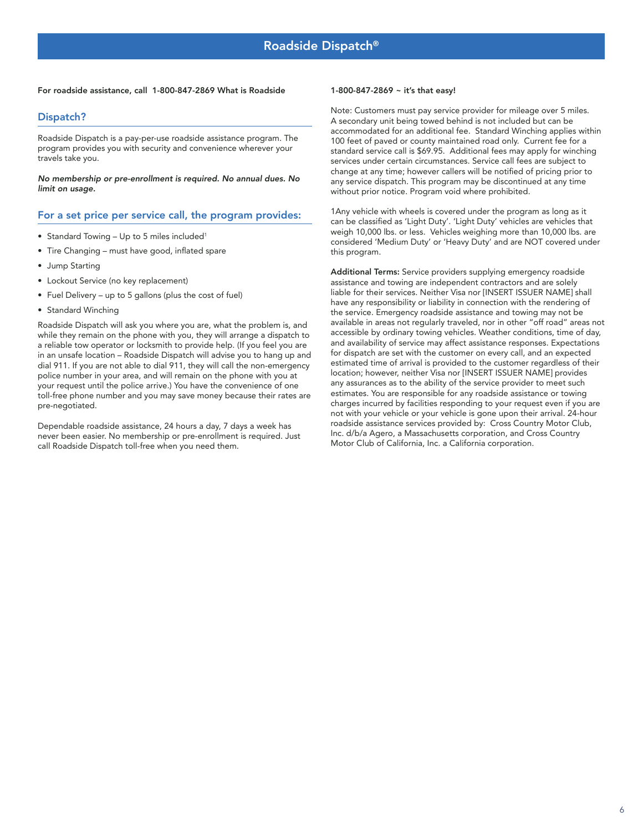#### <span id="page-5-0"></span>For roadside assistance, call 1-800-847-2869 What is Roadside

### Dispatch?

Roadside Dispatch is a pay-per-use roadside assistance program. The program provides you with security and convenience wherever your travels take you.

No membership or pre-enrollment is required. No annual dues. No limit on usage.

### For a set price per service call, the program provides:

- Standard Towing Up to 5 miles included<sup>1</sup>
- Tire Changing must have good, inflated spare
- Jump Starting
- Lockout Service (no key replacement)
- Fuel Delivery up to 5 gallons (plus the cost of fuel)
- Standard Winching

Roadside Dispatch will ask you where you are, what the problem is, and while they remain on the phone with you, they will arrange a dispatch to a reliable tow operator or locksmith to provide help. (If you feel you are in an unsafe location – Roadside Dispatch will advise you to hang up and dial 911. If you are not able to dial 911, they will call the non-emergency police number in your area, and will remain on the phone with you at your request until the police arrive.) You have the convenience of one toll-free phone number and you may save money because their rates are pre-negotiated.

Dependable roadside assistance, 24 hours a day, 7 days a week has never been easier. No membership or pre-enrollment is required. Just call Roadside Dispatch toll-free when you need them.

#### 1-800-847-2869 ~ it's that easy!

Note: Customers must pay service provider for mileage over 5 miles. A secondary unit being towed behind is not included but can be accommodated for an additional fee. Standard Winching applies within 100 feet of paved or county maintained road only. Current fee for a standard service call is \$69.95. Additional fees may apply for winching services under certain circumstances. Service call fees are subject to change at any time; however callers will be notified of pricing prior to any service dispatch. This program may be discontinued at any time without prior notice. Program void where prohibited.

1Any vehicle with wheels is covered under the program as long as it can be classified as 'Light Duty'. 'Light Duty' vehicles are vehicles that weigh 10,000 lbs. or less. Vehicles weighing more than 10,000 lbs. are considered 'Medium Duty' or 'Heavy Duty' and are NOT covered under this program.

Additional Terms: Service providers supplying emergency roadside assistance and towing are independent contractors and are solely liable for their services. Neither Visa nor [INSERT ISSUER NAME] shall have any responsibility or liability in connection with the rendering of the service. Emergency roadside assistance and towing may not be available in areas not regularly traveled, nor in other "off road" areas not accessible by ordinary towing vehicles. Weather conditions, time of day, and availability of service may affect assistance responses. Expectations for dispatch are set with the customer on every call, and an expected estimated time of arrival is provided to the customer regardless of their location; however, neither Visa nor [INSERT ISSUER NAME] provides any assurances as to the ability of the service provider to meet such estimates. You are responsible for any roadside assistance or towing charges incurred by facilities responding to your request even if you are not with your vehicle or your vehicle is gone upon their arrival. 24-hour roadside assistance services provided by: Cross Country Motor Club, Inc. d/b/a Agero, a Massachusetts corporation, and Cross Country Motor Club of California, Inc. a California corporation.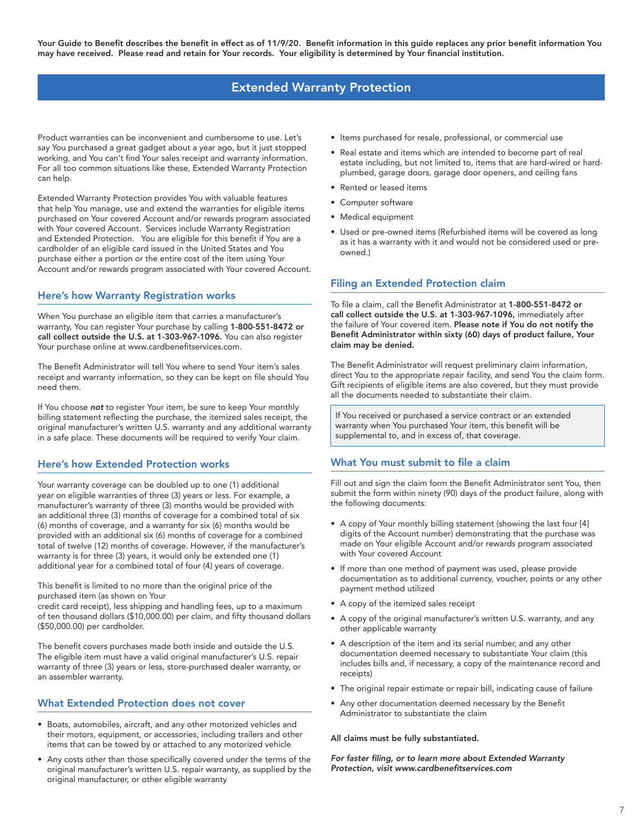# Extended Warranty Protection

<span id="page-6-0"></span>Product warranties can be inconvenient and cumbersome to use. Let's say You purchased a great gadget about a year ago, but it just stopped working, and You can't find Your sales receipt and warranty information. For all too common situations like these, Extended Warranty Protection can help.

Extended Warranty Protection provides You with valuable features that help You manage, use and extend the warranties for eligible items purchased on Your covered Account and/or rewards program associated with Your covered Account. Services include Warranty Registration and Extended Protection. You are eligible for this benefit if You are a cardholder of an eligible card issued in the United States and You purchase either a portion or the entire cost of the item using Your Account and/or rewards program associated with Your covered Account.

### Here's how Warranty Registration works

When You purchase an eligible item that carries a manufacturer's warranty, You can register Your purchase by calling 1-800-551-8472 or call collect outside the U.S. at 1-303-967-1096. You can also register Your purchase online at www.cardbenefitservices.com.

The Benefit Administrator will tell You where to send Your item's sales receipt and warranty information, so they can be kept on file should You need them.

If You choose not to register Your item, be sure to keep Your monthly billing statement reflecting the purchase, the itemized sales receipt, the original manufacturer's written U.S. warranty and any additional warranty in a safe place. These documents will be required to verify Your claim.

### Here's how Extended Protection works

Your warranty coverage can be doubled up to one (1) additional year on eligible warranties of three (3) years or less. For example, a manufacturer's warranty of three (3) months would be provided with an additional three (3) months of coverage for a combined total of six (6) months of coverage, and a warranty for six (6) months would be provided with an additional six (6) months of coverage for a combined total of twelve (12) months of coverage. However, if the manufacturer's warranty is for three (3) years, it would only be extended one (1) additional year for a combined total of four (4) years of coverage.

This benefit is limited to no more than the original price of the purchased item (as shown on Your

credit card receipt), less shipping and handling fees, up to a maximum of ten thousand dollars (\$10,000.00) per claim, and fifty thousand dollars (\$50,000.00) per cardholder.

The benefit covers purchases made both inside and outside the U.S. The eligible item must have a valid original manufacturer's U.S. repair warranty of three (3) years or less, store-purchased dealer warranty, or an assembler warranty.

### What Extended Protection does not cover

- Boats, automobiles, aircraft, and any other motorized vehicles and their motors, equipment, or accessories, including trailers and other items that can be towed by or attached to any motorized vehicle
- Any costs other than those specifically covered under the terms of the original manufacturer's written U.S. repair warranty, as supplied by the original manufacturer, or other eligible warranty
- Items purchased for resale, professional, or commercial use
- Real estate and items which are intended to become part of real estate including, but not limited to, items that are hard-wired or hardplumbed, garage doors, garage door openers, and ceiling fans
- Rented or leased items
- Computer software
- Medical equipment
- Used or pre-owned items (Refurbished items will be covered as long as it has a warranty with it and would not be considered used or preowned.)

### Filing an Extended Protection claim

To file a claim, call the Benefit Administrator at 1-800-551-8472 or call collect outside the U.S. at 1-303-967-1096, immediately after the failure of Your covered item. Please note if You do not notify the Benefit Administrator within sixty (60) days of product failure, Your claim may be denied.

The Benefit Administrator will request preliminary claim information, direct You to the appropriate repair facility, and send You the claim form. Gift recipients of eligible items are also covered, but they must provide all the documents needed to substantiate their claim.

If You received or purchased a service contract or an extended warranty when You purchased Your item, this benefit will be supplemental to, and in excess of, that coverage.

### What You must submit to file a claim

Fill out and sign the claim form the Benefit Administrator sent You, then submit the form within ninety (90) days of the product failure, along with the following documents:

- A copy of Your monthly billing statement (showing the last four [4] digits of the Account number) demonstrating that the purchase was made on Your eligible Account and/or rewards program associated with Your covered Account
- If more than one method of payment was used, please provide documentation as to additional currency, voucher, points or any other payment method utilized
- A copy of the itemized sales receipt
- A copy of the original manufacturer's written U.S. warranty, and any other applicable warranty
- A description of the item and its serial number, and any other documentation deemed necessary to substantiate Your claim (this includes bills and, if necessary, a copy of the maintenance record and receipts)
- The original repair estimate or repair bill, indicating cause of failure
- Any other documentation deemed necessary by the Benefit Administrator to substantiate the claim

#### All claims must be fully substantiated.

For faster filing, or to learn more about Extended Warranty Protection, visit www.cardbenefitservices.com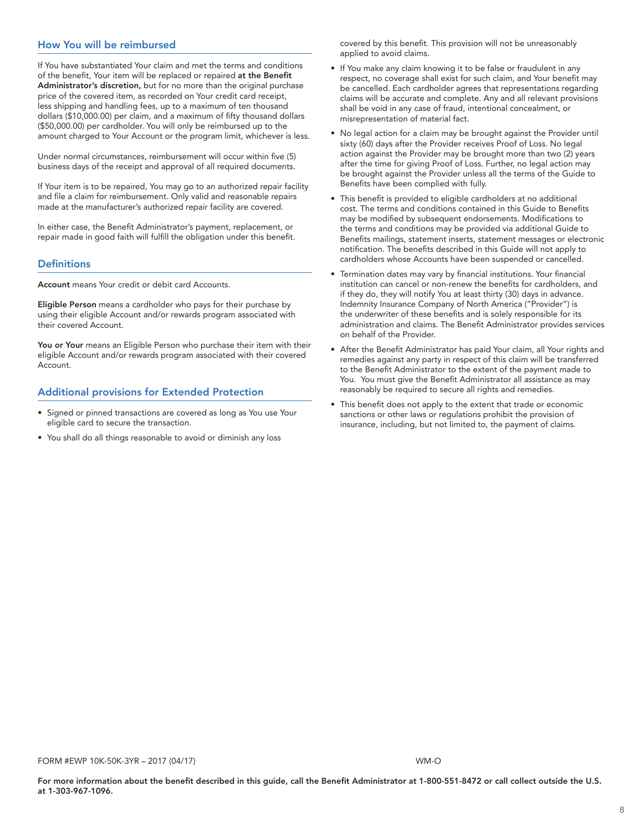# How You will be reimbursed

If You have substantiated Your claim and met the terms and conditions of the benefit, Your item will be replaced or repaired at the Benefit Administrator's discretion, but for no more than the original purchase price of the covered item, as recorded on Your credit card receipt, less shipping and handling fees, up to a maximum of ten thousand dollars (\$10,000.00) per claim, and a maximum of fifty thousand dollars (\$50,000.00) per cardholder. You will only be reimbursed up to the amount charged to Your Account or the program limit, whichever is less.

Under normal circumstances, reimbursement will occur within five (5) business days of the receipt and approval of all required documents.

If Your item is to be repaired, You may go to an authorized repair facility and file a claim for reimbursement. Only valid and reasonable repairs made at the manufacturer's authorized repair facility are covered.

In either case, the Benefit Administrator's payment, replacement, or repair made in good faith will fulfill the obligation under this benefit.

### **Definitions**

Account means Your credit or debit card Accounts.

Eligible Person means a cardholder who pays for their purchase by using their eligible Account and/or rewards program associated with their covered Account.

You or Your means an Eligible Person who purchase their item with their eligible Account and/or rewards program associated with their covered Account.

### Additional provisions for Extended Protection

- Ï • Signed or pinned transactions are covered as long as You use Your eligible card to secure the transaction.
- You shall do all things reasonable to avoid or diminish any loss

covered by this benefit. This provision will not be unreasonably applied to avoid claims.

- If You make any claim knowing it to be false or fraudulent in any respect, no coverage shall exist for such claim, and Your benefit may be cancelled. Each cardholder agrees that representations regarding claims will be accurate and complete. Any and all relevant provisions shall be void in any case of fraud, intentional concealment, or misrepresentation of material fact.
- No legal action for a claim may be brought against the Provider until sixty (60) days after the Provider receives Proof of Loss. No legal action against the Provider may be brought more than two (2) years after the time for giving Proof of Loss. Further, no legal action may be brought against the Provider unless all the terms of the Guide to Benefits have been complied with fully.
- This benefit is provided to eligible cardholders at no additional cost. The terms and conditions contained in this Guide to Benefits may be modified by subsequent endorsements. Modifications to the terms and conditions may be provided via additional Guide to Benefits mailings, statement inserts, statement messages or electronic notification. The benefits described in this Guide will not apply to cardholders whose Accounts have been suspended or cancelled.
- Termination dates may vary by financial institutions. Your financial institution can cancel or non-renew the benefits for cardholders, and if they do, they will notify You at least thirty (30) days in advance. Indemnity Insurance Company of North America ("Provider") is the underwriter of these benefits and is solely responsible for its administration and claims. The Benefit Administrator provides services on behalf of the Provider.
- After the Benefit Administrator has paid Your claim, all Your rights and remedies against any party in respect of this claim will be transferred to the Benefit Administrator to the extent of the payment made to You. You must give the Benefit Administrator all assistance as may reasonably be required to secure all rights and remedies.
- This benefit does not apply to the extent that trade or economic sanctions or other laws or regulations prohibit the provision of insurance, including, but not limited to, the payment of claims.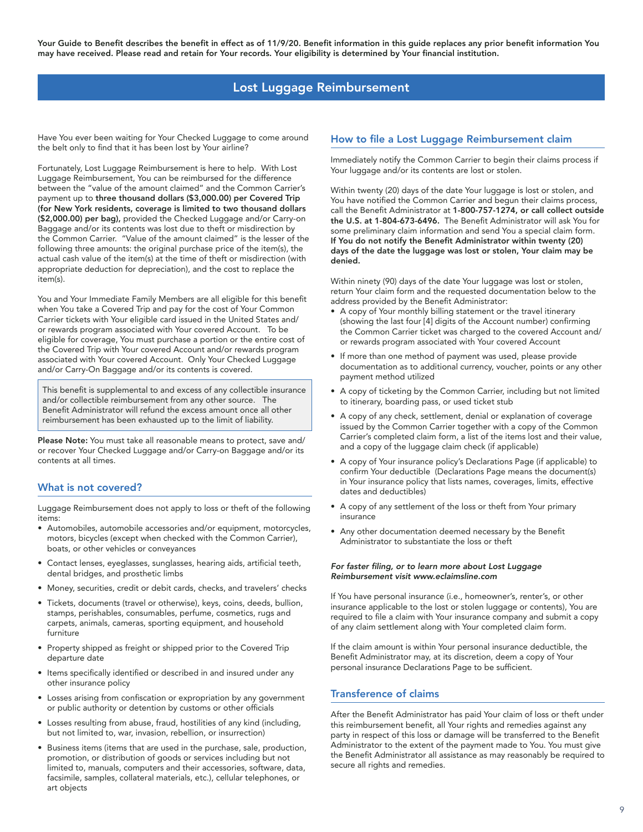# Lost Luggage Reimbursement

<span id="page-8-0"></span>Have You ever been waiting for Your Checked Luggage to come around the belt only to find that it has been lost by Your airline?

Fortunately, Lost Luggage Reimbursement is here to help. With Lost Luggage Reimbursement, You can be reimbursed for the difference between the "value of the amount claimed" and the Common Carrier's payment up to three thousand dollars (\$3,000.00) per Covered Trip (for New York residents, coverage is limited to two thousand dollars (\$2,000.00) per bag), provided the Checked Luggage and/or Carry-on Baggage and/or its contents was lost due to theft or misdirection by the Common Carrier. "Value of the amount claimed" is the lesser of the following three amounts: the original purchase price of the item(s), the actual cash value of the item(s) at the time of theft or misdirection (with appropriate deduction for depreciation), and the cost to replace the item(s).

You and Your Immediate Family Members are all eligible for this benefit when You take a Covered Trip and pay for the cost of Your Common Carrier tickets with Your eligible card issued in the United States and/ or rewards program associated with Your covered Account. To be eligible for coverage, You must purchase a portion or the entire cost of the Covered Trip with Your covered Account and/or rewards program associated with Your covered Account. Only Your Checked Luggage and/or Carry-On Baggage and/or its contents is covered.

This benefit is supplemental to and excess of any collectible insurance and/or collectible reimbursement from any other source. The Benefit Administrator will refund the excess amount once all other reimbursement has been exhausted up to the limit of liability.

Please Note: You must take all reasonable means to protect, save and/ or recover Your Checked Luggage and/or Carry-on Baggage and/or its contents at all times.

### What is not covered?

Luggage Reimbursement does not apply to loss or theft of the following items:

- Automobiles, automobile accessories and/or equipment, motorcycles, motors, bicycles (except when checked with the Common Carrier), boats, or other vehicles or conveyances
- Contact lenses, eyeglasses, sunglasses, hearing aids, artificial teeth, dental bridges, and prosthetic limbs
- Money, securities, credit or debit cards, checks, and travelers' checks
- Tickets, documents (travel or otherwise), keys, coins, deeds, bullion, stamps, perishables, consumables, perfume, cosmetics, rugs and carpets, animals, cameras, sporting equipment, and household furniture
- Property shipped as freight or shipped prior to the Covered Trip departure date
- Items specifically identified or described in and insured under any other insurance policy
- Losses arising from confiscation or expropriation by any government or public authority or detention by customs or other officials
- Losses resulting from abuse, fraud, hostilities of any kind (including, but not limited to, war, invasion, rebellion, or insurrection)
- Business items (items that are used in the purchase, sale, production, promotion, or distribution of goods or services including but not limited to, manuals, computers and their accessories, software, data, facsimile, samples, collateral materials, etc.), cellular telephones, or art objects

# How to file a Lost Luggage Reimbursement claim

Immediately notify the Common Carrier to begin their claims process if Your luggage and/or its contents are lost or stolen.

Within twenty (20) days of the date Your luggage is lost or stolen, and You have notified the Common Carrier and begun their claims process, call the Benefit Administrator at 1-800-757-1274, or call collect outside the U.S. at 1-804-673-6496. The Benefit Administrator will ask You for some preliminary claim information and send You a special claim form. If You do not notify the Benefit Administrator within twenty (20) days of the date the luggage was lost or stolen, Your claim may be denied.

Within ninety (90) days of the date Your luggage was lost or stolen, return Your claim form and the requested documentation below to the address provided by the Benefit Administrator:

- A copy of Your monthly billing statement or the travel itinerary (showing the last four [4] digits of the Account number) confirming the Common Carrier ticket was charged to the covered Account and/ or rewards program associated with Your covered Account
- If more than one method of payment was used, please provide documentation as to additional currency, voucher, points or any other payment method utilized
- A copy of ticketing by the Common Carrier, including but not limited to itinerary, boarding pass, or used ticket stub
- A copy of any check, settlement, denial or explanation of coverage issued by the Common Carrier together with a copy of the Common Carrier's completed claim form, a list of the items lost and their value, and a copy of the luggage claim check (if applicable)
- A copy of Your insurance policy's Declarations Page (if applicable) to confirm Your deductible (Declarations Page means the document(s) in Your insurance policy that lists names, coverages, limits, effective dates and deductibles)
- A copy of any settlement of the loss or theft from Your primary insurance
- Any other documentation deemed necessary by the Benefit Administrator to substantiate the loss or theft

#### For faster filing, or to learn more about Lost Luggage Reimbursement visit www.eclaimsline.com

If You have personal insurance (i.e., homeowner's, renter's, or other insurance applicable to the lost or stolen luggage or contents), You are required to file a claim with Your insurance company and submit a copy of any claim settlement along with Your completed claim form.

If the claim amount is within Your personal insurance deductible, the Benefit Administrator may, at its discretion, deem a copy of Your personal insurance Declarations Page to be sufficient.

### Transference of claims

After the Benefit Administrator has paid Your claim of loss or theft under this reimbursement benefit, all Your rights and remedies against any party in respect of this loss or damage will be transferred to the Benefit Administrator to the extent of the payment made to You. You must give the Benefit Administrator all assistance as may reasonably be required to secure all rights and remedies.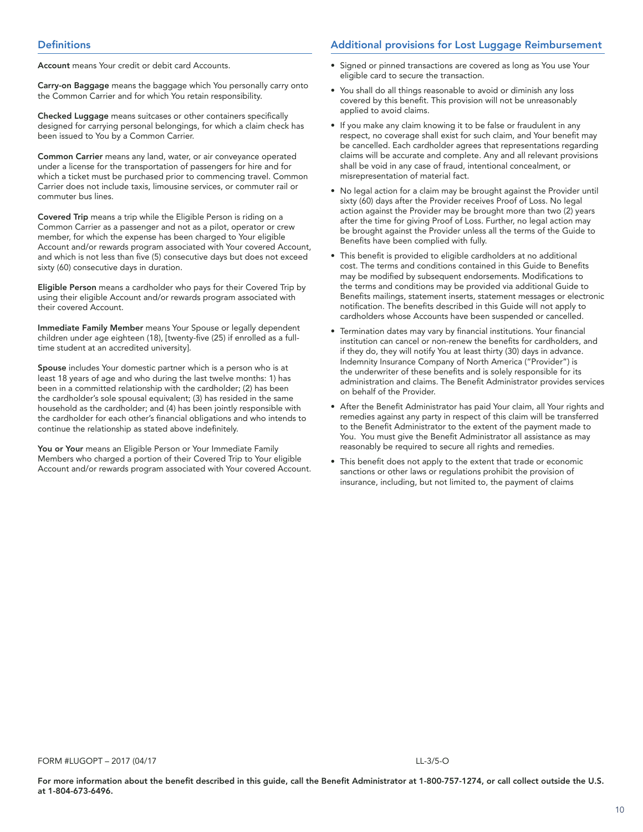Account means Your credit or debit card Accounts.

Carry-on Baggage means the baggage which You personally carry onto the Common Carrier and for which You retain responsibility.

Checked Luggage means suitcases or other containers specifically designed for carrying personal belongings, for which a claim check has been issued to You by a Common Carrier.

Common Carrier means any land, water, or air conveyance operated under a license for the transportation of passengers for hire and for which a ticket must be purchased prior to commencing travel. Common Carrier does not include taxis, limousine services, or commuter rail or commuter bus lines.

Covered Trip means a trip while the Eligible Person is riding on a Common Carrier as a passenger and not as a pilot, operator or crew member, for which the expense has been charged to Your eligible Account and/or rewards program associated with Your covered Account, and which is not less than five (5) consecutive days but does not exceed sixty (60) consecutive days in duration.

Eligible Person means a cardholder who pays for their Covered Trip by using their eligible Account and/or rewards program associated with their covered Account.

Immediate Family Member means Your Spouse or legally dependent children under age eighteen (18), [twenty-five (25) if enrolled as a fulltime student at an accredited university].

Spouse includes Your domestic partner which is a person who is at least 18 years of age and who during the last twelve months: 1) has been in a committed relationship with the cardholder; (2) has been the cardholder's sole spousal equivalent; (3) has resided in the same household as the cardholder; and (4) has been jointly responsible with the cardholder for each other's financial obligations and who intends to continue the relationship as stated above indefinitely.

You or Your means an Eligible Person or Your Immediate Family Members who charged a portion of their Covered Trip to Your eligible Account and/or rewards program associated with Your covered Account.

### Additional provisions for Lost Luggage Reimbursement

- Signed or pinned transactions are covered as long as You use Your eligible card to secure the transaction.
- You shall do all things reasonable to avoid or diminish any loss covered by this benefit. This provision will not be unreasonably applied to avoid claims.
- If you make any claim knowing it to be false or fraudulent in any respect, no coverage shall exist for such claim, and Your benefit may be cancelled. Each cardholder agrees that representations regarding claims will be accurate and complete. Any and all relevant provisions shall be void in any case of fraud, intentional concealment, or misrepresentation of material fact.
- No legal action for a claim may be brought against the Provider until sixty (60) days after the Provider receives Proof of Loss. No legal action against the Provider may be brought more than two (2) years after the time for giving Proof of Loss. Further, no legal action may be brought against the Provider unless all the terms of the Guide to Benefits have been complied with fully.
- This benefit is provided to eligible cardholders at no additional cost. The terms and conditions contained in this Guide to Benefits may be modified by subsequent endorsements. Modifications to the terms and conditions may be provided via additional Guide to Benefits mailings, statement inserts, statement messages or electronic notification. The benefits described in this Guide will not apply to cardholders whose Accounts have been suspended or cancelled.
- Termination dates may vary by financial institutions. Your financial institution can cancel or non-renew the benefits for cardholders, and if they do, they will notify You at least thirty (30) days in advance. Indemnity Insurance Company of North America ("Provider") is the underwriter of these benefits and is solely responsible for its administration and claims. The Benefit Administrator provides services on behalf of the Provider.
- After the Benefit Administrator has paid Your claim, all Your rights and remedies against any party in respect of this claim will be transferred to the Benefit Administrator to the extent of the payment made to You. You must give the Benefit Administrator all assistance as may reasonably be required to secure all rights and remedies.
- This benefit does not apply to the extent that trade or economic sanctions or other laws or regulations prohibit the provision of insurance, including, but not limited to, the payment of claims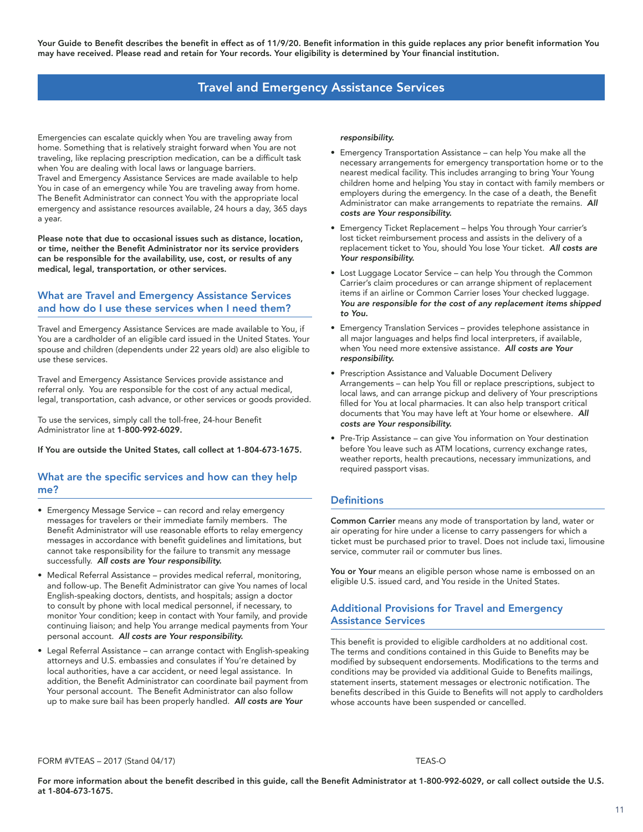# Travel and Emergency Assistance Services

<span id="page-10-0"></span>Emergencies can escalate quickly when You are traveling away from home. Something that is relatively straight forward when You are not traveling, like replacing prescription medication, can be a difficult task when You are dealing with local laws or language barriers. Travel and Emergency Assistance Services are made available to help You in case of an emergency while You are traveling away from home. The Benefit Administrator can connect You with the appropriate local emergency and assistance resources available, 24 hours a day, 365 days a year.

Please note that due to occasional issues such as distance, location, or time, neither the Benefit Administrator nor its service providers can be responsible for the availability, use, cost, or results of any medical, legal, transportation, or other services.

### What are Travel and Emergency Assistance Services and how do I use these services when I need them?

Travel and Emergency Assistance Services are made available to You, if You are a cardholder of an eligible card issued in the United States. Your spouse and children (dependents under 22 years old) are also eligible to use these services.

Travel and Emergency Assistance Services provide assistance and referral only. You are responsible for the cost of any actual medical, legal, transportation, cash advance, or other services or goods provided.

To use the services, simply call the toll-free, 24-hour Benefit Administrator line at 1-800-992-6029.

If You are outside the United States, call collect at 1-804-673-1675.

### What are the specific services and how can they help me?

- Emergency Message Service can record and relay emergency messages for travelers or their immediate family members. The Benefit Administrator will use reasonable efforts to relay emergency messages in accordance with benefit guidelines and limitations, but cannot take responsibility for the failure to transmit any message successfully. All costs are Your responsibility.
- Medical Referral Assistance provides medical referral, monitoring, and follow-up. The Benefit Administrator can give You names of local English-speaking doctors, dentists, and hospitals; assign a doctor to consult by phone with local medical personnel, if necessary, to monitor Your condition; keep in contact with Your family, and provide continuing liaison; and help You arrange medical payments from Your personal account. All costs are Your responsibility.
- Legal Referral Assistance can arrange contact with English-speaking attorneys and U.S. embassies and consulates if You're detained by local authorities, have a car accident, or need legal assistance. In addition, the Benefit Administrator can coordinate bail payment from Your personal account. The Benefit Administrator can also follow up to make sure bail has been properly handled. All costs are Your

#### responsibility.

- Emergency Transportation Assistance can help You make all the necessary arrangements for emergency transportation home or to the nearest medical facility. This includes arranging to bring Your Young children home and helping You stay in contact with family members or employers during the emergency. In the case of a death, the Benefit Administrator can make arrangements to repatriate the remains. All costs are Your responsibility.
- Emergency Ticket Replacement helps You through Your carrier's lost ticket reimbursement process and assists in the delivery of a replacement ticket to You, should You lose Your ticket. All costs are Your responsibility.
- Lost Luggage Locator Service can help You through the Common Carrier's claim procedures or can arrange shipment of replacement items if an airline or Common Carrier loses Your checked luggage. You are responsible for the cost of any replacement items shipped to You.
- Emergency Translation Services provides telephone assistance in all major languages and helps find local interpreters, if available, when You need more extensive assistance. All costs are Your responsibility.
- Prescription Assistance and Valuable Document Delivery Arrangements – can help You fill or replace prescriptions, subject to local laws, and can arrange pickup and delivery of Your prescriptions filled for You at local pharmacies. It can also help transport critical documents that You may have left at Your home or elsewhere. All costs are Your responsibility.
- Pre-Trip Assistance can give You information on Your destination before You leave such as ATM locations, currency exchange rates, weather reports, health precautions, necessary immunizations, and required passport visas.

### **Definitions**

Common Carrier means any mode of transportation by land, water or air operating for hire under a license to carry passengers for which a ticket must be purchased prior to travel. Does not include taxi, limousine service, commuter rail or commuter bus lines.

You or Your means an eligible person whose name is embossed on an eligible U.S. issued card, and You reside in the United States.

### Additional Provisions for Travel and Emergency Assistance Services

This benefit is provided to eligible cardholders at no additional cost. The terms and conditions contained in this Guide to Benefits may be modified by subsequent endorsements. Modifications to the terms and conditions may be provided via additional Guide to Benefits mailings, statement inserts, statement messages or electronic notification. The benefits described in this Guide to Benefits will not apply to cardholders whose accounts have been suspended or cancelled.

FORM #VTEAS – 2017 (Stand 04/17) TEAS-O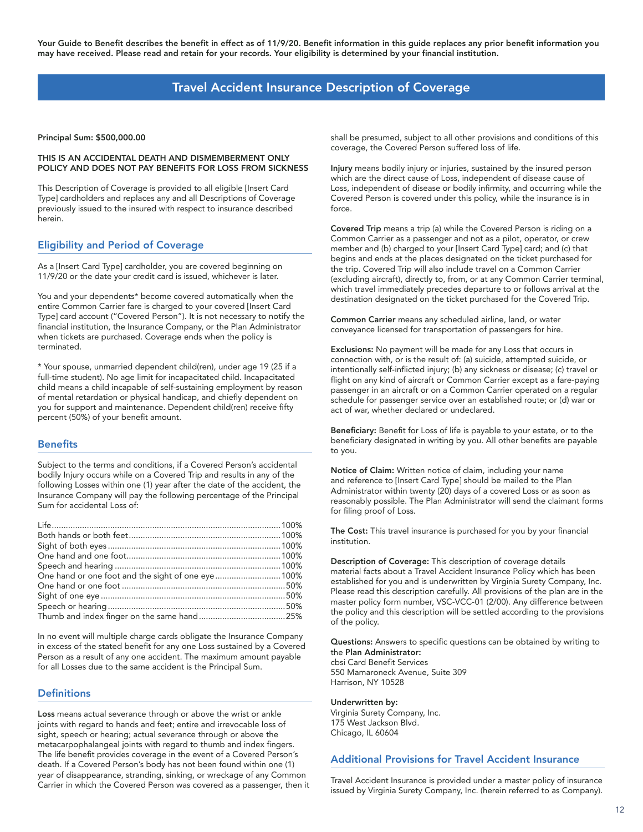# Travel Accident Insurance Description of Coverage

<span id="page-11-0"></span>Principal Sum: \$500,000.00

#### THIS IS AN ACCIDENTAL DEATH AND DISMEMBERMENT ONLY POLICY AND DOES NOT PAY BENEFITS FOR LOSS FROM SICKNESS

This Description of Coverage is provided to all eligible [Insert Card Type] cardholders and replaces any and all Descriptions of Coverage previously issued to the insured with respect to insurance described herein.

# Eligibility and Period of Coverage

As a [Insert Card Type] cardholder, you are covered beginning on 11/9/20 or the date your credit card is issued, whichever is later.

You and your dependents\* become covered automatically when the entire Common Carrier fare is charged to your covered [Insert Card Type] card account ("Covered Person"). It is not necessary to notify the financial institution, the Insurance Company, or the Plan Administrator when tickets are purchased. Coverage ends when the policy is terminated.

\* Your spouse, unmarried dependent child(ren), under age 19 (25 if a full-time student). No age limit for incapacitated child. Incapacitated child means a child incapable of self-sustaining employment by reason of mental retardation or physical handicap, and chiefly dependent on you for support and maintenance. Dependent child(ren) receive fifty percent (50%) of your benefit amount.

### **Benefits**

Subject to the terms and conditions, if a Covered Person's accidental bodily Injury occurs while on a Covered Trip and results in any of the following Losses within one (1) year after the date of the accident, the Insurance Company will pay the following percentage of the Principal Sum for accidental Loss of:

| One hand or one foot and the sight of one eye  100% |  |
|-----------------------------------------------------|--|
|                                                     |  |
|                                                     |  |
|                                                     |  |
|                                                     |  |

In no event will multiple charge cards obligate the Insurance Company in excess of the stated benefit for any one Loss sustained by a Covered Person as a result of any one accident. The maximum amount payable for all Losses due to the same accident is the Principal Sum.

### **Definitions**

Loss means actual severance through or above the wrist or ankle joints with regard to hands and feet; entire and irrevocable loss of sight, speech or hearing; actual severance through or above the metacarpophalangeal joints with regard to thumb and index fingers. The life benefit provides coverage in the event of a Covered Person's death. If a Covered Person's body has not been found within one (1) year of disappearance, stranding, sinking, or wreckage of any Common Carrier in which the Covered Person was covered as a passenger, then it shall be presumed, subject to all other provisions and conditions of this coverage, the Covered Person suffered loss of life.

Injury means bodily injury or injuries, sustained by the insured person which are the direct cause of Loss, independent of disease cause of Loss, independent of disease or bodily infirmity, and occurring while the Covered Person is covered under this policy, while the insurance is in force.

Covered Trip means a trip (a) while the Covered Person is riding on a Common Carrier as a passenger and not as a pilot, operator, or crew member and (b) charged to your [Insert Card Type] card; and (c) that begins and ends at the places designated on the ticket purchased for the trip. Covered Trip will also include travel on a Common Carrier (excluding aircraft), directly to, from, or at any Common Carrier terminal, which travel immediately precedes departure to or follows arrival at the destination designated on the ticket purchased for the Covered Trip.

Common Carrier means any scheduled airline, land, or water conveyance licensed for transportation of passengers for hire.

Exclusions: No payment will be made for any Loss that occurs in connection with, or is the result of: (a) suicide, attempted suicide, or intentionally self-inflicted injury; (b) any sickness or disease; (c) travel or flight on any kind of aircraft or Common Carrier except as a fare-paying passenger in an aircraft or on a Common Carrier operated on a regular schedule for passenger service over an established route; or (d) war or act of war, whether declared or undeclared.

Beneficiary: Benefit for Loss of life is payable to your estate, or to the beneficiary designated in writing by you. All other benefits are payable to you.

Notice of Claim: Written notice of claim, including your name and reference to [Insert Card Type] should be mailed to the Plan Administrator within twenty (20) days of a covered Loss or as soon as reasonably possible. The Plan Administrator will send the claimant forms for filing proof of Loss.

The Cost: This travel insurance is purchased for you by your financial institution.

Description of Coverage: This description of coverage details material facts about a Travel Accident Insurance Policy which has been established for you and is underwritten by Virginia Surety Company, Inc. Please read this description carefully. All provisions of the plan are in the master policy form number, VSC-VCC-01 (2/00). Any difference between the policy and this description will be settled according to the provisions of the policy.

Questions: Answers to specific questions can be obtained by writing to the Plan Administrator: cbsi Card Benefit Services 550 Mamaroneck Avenue, Suite 309 Harrison, NY 10528

### Underwritten by:

Virginia Surety Company, Inc. 175 West Jackson Blvd. Chicago, IL 60604

# Additional Provisions for Travel Accident Insurance

Travel Accident Insurance is provided under a master policy of insurance issued by Virginia Surety Company, Inc. (herein referred to as Company).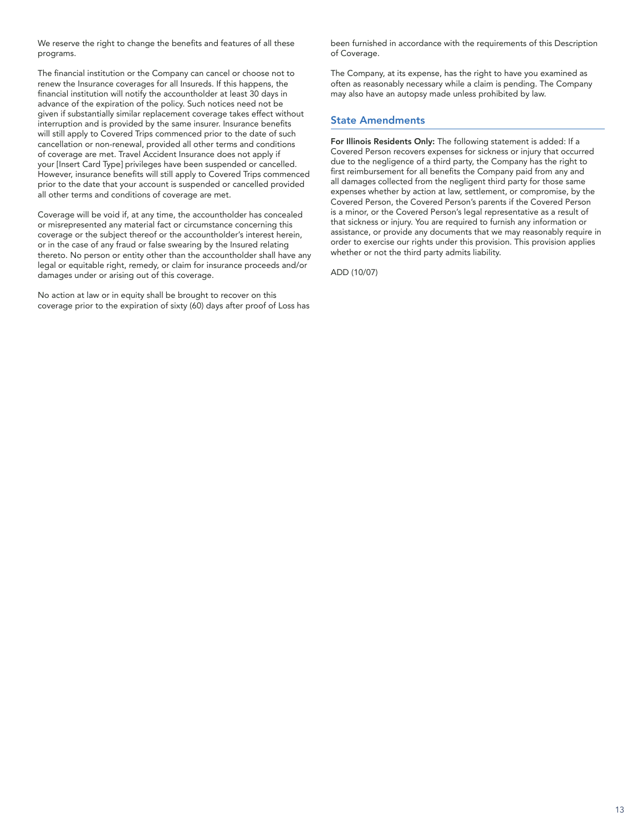We reserve the right to change the benefits and features of all these programs.

The financial institution or the Company can cancel or choose not to renew the Insurance coverages for all Insureds. If this happens, the financial institution will notify the accountholder at least 30 days in advance of the expiration of the policy. Such notices need not be given if substantially similar replacement coverage takes effect without interruption and is provided by the same insurer. Insurance benefits will still apply to Covered Trips commenced prior to the date of such cancellation or non-renewal, provided all other terms and conditions of coverage are met. Travel Accident Insurance does not apply if your [Insert Card Type] privileges have been suspended or cancelled. However, insurance benefits will still apply to Covered Trips commenced prior to the date that your account is suspended or cancelled provided all other terms and conditions of coverage are met.

Coverage will be void if, at any time, the accountholder has concealed or misrepresented any material fact or circumstance concerning this coverage or the subject thereof or the accountholder's interest herein, or in the case of any fraud or false swearing by the Insured relating thereto. No person or entity other than the accountholder shall have any legal or equitable right, remedy, or claim for insurance proceeds and/or damages under or arising out of this coverage.

No action at law or in equity shall be brought to recover on this coverage prior to the expiration of sixty (60) days after proof of Loss has been furnished in accordance with the requirements of this Description of Coverage.

The Company, at its expense, has the right to have you examined as often as reasonably necessary while a claim is pending. The Company may also have an autopsy made unless prohibited by law.

### State Amendments

For Illinois Residents Only: The following statement is added: If a Covered Person recovers expenses for sickness or injury that occurred due to the negligence of a third party, the Company has the right to first reimbursement for all benefits the Company paid from any and all damages collected from the negligent third party for those same expenses whether by action at law, settlement, or compromise, by the Covered Person, the Covered Person's parents if the Covered Person is a minor, or the Covered Person's legal representative as a result of that sickness or injury. You are required to furnish any information or assistance, or provide any documents that we may reasonably require in order to exercise our rights under this provision. This provision applies whether or not the third party admits liability.

ADD (10/07)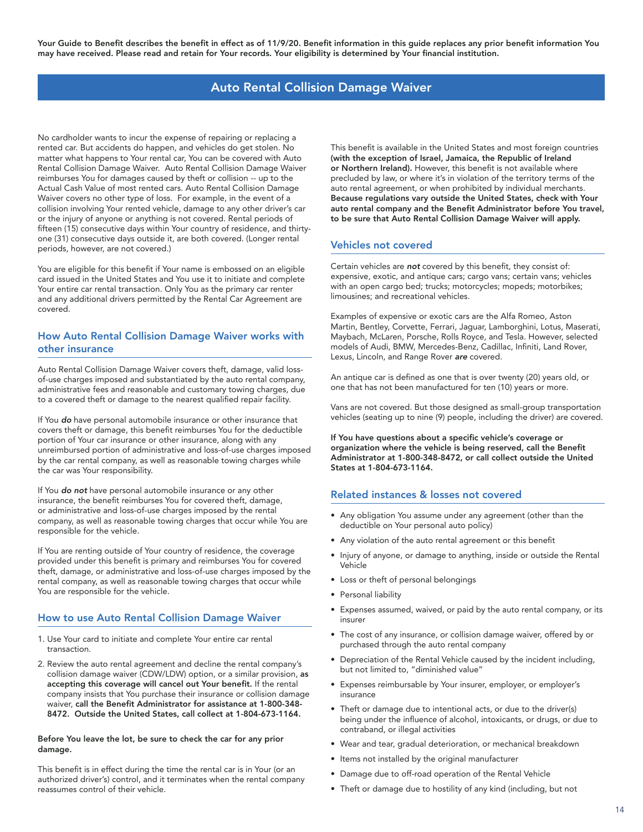# Auto Rental Collision Damage Waiver

<span id="page-13-0"></span>No cardholder wants to incur the expense of repairing or replacing a rented car. But accidents do happen, and vehicles do get stolen. No matter what happens to Your rental car, You can be covered with Auto Rental Collision Damage Waiver. Auto Rental Collision Damage Waiver reimburses You for damages caused by theft or collision -- up to the Actual Cash Value of most rented cars. Auto Rental Collision Damage Waiver covers no other type of loss. For example, in the event of a collision involving Your rented vehicle, damage to any other driver's car or the injury of anyone or anything is not covered. Rental periods of fifteen (15) consecutive days within Your country of residence, and thirtyone (31) consecutive days outside it, are both covered. (Longer rental periods, however, are not covered.)

You are eligible for this benefit if Your name is embossed on an eligible card issued in the United States and You use it to initiate and complete Your entire car rental transaction. Only You as the primary car renter and any additional drivers permitted by the Rental Car Agreement are covered.

# How Auto Rental Collision Damage Waiver works with other insurance

Auto Rental Collision Damage Waiver covers theft, damage, valid lossof-use charges imposed and substantiated by the auto rental company, administrative fees and reasonable and customary towing charges, due to a covered theft or damage to the nearest qualified repair facility.

If You do have personal automobile insurance or other insurance that covers theft or damage, this benefit reimburses You for the deductible portion of Your car insurance or other insurance, along with any unreimbursed portion of administrative and loss-of-use charges imposed by the car rental company, as well as reasonable towing charges while the car was Your responsibility.

If You do not have personal automobile insurance or any other insurance, the benefit reimburses You for covered theft, damage, or administrative and loss-of-use charges imposed by the rental company, as well as reasonable towing charges that occur while You are responsible for the vehicle.

If You are renting outside of Your country of residence, the coverage provided under this benefit is primary and reimburses You for covered theft, damage, or administrative and loss-of-use charges imposed by the rental company, as well as reasonable towing charges that occur while You are responsible for the vehicle.

# How to use Auto Rental Collision Damage Waiver

- 1. Use Your card to initiate and complete Your entire car rental transaction.
- 2. Review the auto rental agreement and decline the rental company's collision damage waiver (CDW/LDW) option, or a similar provision, as accepting this coverage will cancel out Your benefit. If the rental company insists that You purchase their insurance or collision damage waiver, call the Benefit Administrator for assistance at 1-800-348- 8472. Outside the United States, call collect at 1-804-673-1164.

#### Before You leave the lot, be sure to check the car for any prior damage.

This benefit is in effect during the time the rental car is in Your (or an authorized driver's) control, and it terminates when the rental company reassumes control of their vehicle.

This benefit is available in the United States and most foreign countries (with the exception of Israel, Jamaica, the Republic of Ireland or Northern Ireland). However, this benefit is not available where precluded by law, or where it's in violation of the territory terms of the auto rental agreement, or when prohibited by individual merchants. Because regulations vary outside the United States, check with Your auto rental company and the Benefit Administrator before You travel, to be sure that Auto Rental Collision Damage Waiver will apply.

### Vehicles not covered

Certain vehicles are not covered by this benefit, they consist of: expensive, exotic, and antique cars; cargo vans; certain vans; vehicles with an open cargo bed; trucks; motorcycles; mopeds; motorbikes; limousines; and recreational vehicles.

Examples of expensive or exotic cars are the Alfa Romeo, Aston Martin, Bentley, Corvette, Ferrari, Jaguar, Lamborghini, Lotus, Maserati, Maybach, McLaren, Porsche, Rolls Royce, and Tesla. However, selected models of Audi, BMW, Mercedes-Benz, Cadillac, Infiniti, Land Rover, Lexus, Lincoln, and Range Rover *are* covered.

An antique car is defined as one that is over twenty (20) years old, or one that has not been manufactured for ten (10) years or more.

Vans are not covered. But those designed as small-group transportation vehicles (seating up to nine (9) people, including the driver) are covered.

If You have questions about a specific vehicle's coverage or organization where the vehicle is being reserved, call the Benefit Administrator at 1-800-348-8472, or call collect outside the United States at 1-804-673-1164.

# Related instances & losses not covered

- Any obligation You assume under any agreement (other than the deductible on Your personal auto policy)
- Any violation of the auto rental agreement or this benefit
- Injury of anyone, or damage to anything, inside or outside the Rental Vehicle
- Loss or theft of personal belongings
- Personal liability
- Expenses assumed, waived, or paid by the auto rental company, or its insurer
- The cost of any insurance, or collision damage waiver, offered by or purchased through the auto rental company
- Depreciation of the Rental Vehicle caused by the incident including, but not limited to, "diminished value"
- Expenses reimbursable by Your insurer, employer, or employer's insurance
- Theft or damage due to intentional acts, or due to the driver(s) being under the influence of alcohol, intoxicants, or drugs, or due to contraband, or illegal activities
- Wear and tear, gradual deterioration, or mechanical breakdown
- Items not installed by the original manufacturer
- Damage due to off-road operation of the Rental Vehicle
- Theft or damage due to hostility of any kind (including, but not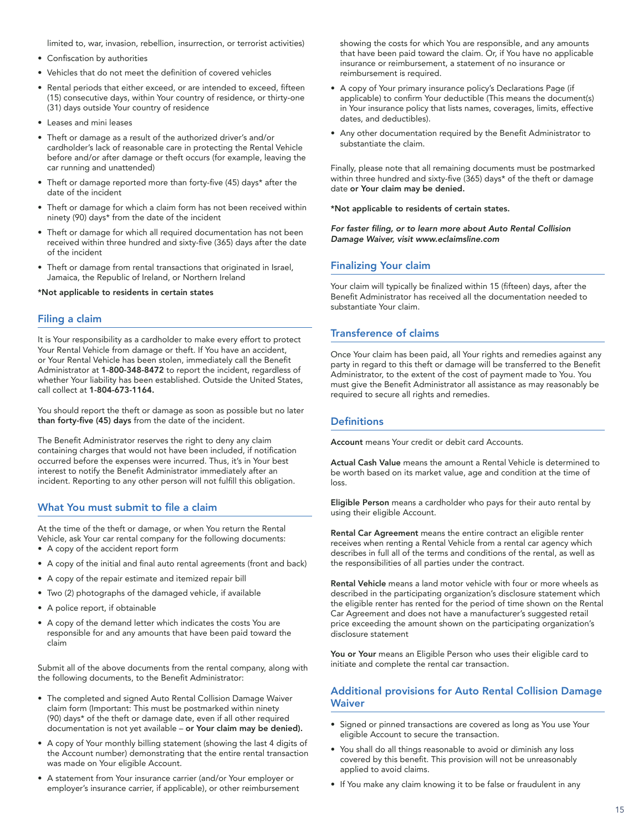limited to, war, invasion, rebellion, insurrection, or terrorist activities)

- Confiscation by authorities
- Vehicles that do not meet the definition of covered vehicles
- Rental periods that either exceed, or are intended to exceed, fifteen (15) consecutive days, within Your country of residence, or thirty-one (31) days outside Your country of residence
- Leases and mini leases
- Theft or damage as a result of the authorized driver's and/or cardholder's lack of reasonable care in protecting the Rental Vehicle before and/or after damage or theft occurs (for example, leaving the car running and unattended)
- Theft or damage reported more than forty-five (45) days\* after the date of the incident
- Theft or damage for which a claim form has not been received within ninety (90) days\* from the date of the incident
- Theft or damage for which all required documentation has not been received within three hundred and sixty-five (365) days after the date of the incident
- Theft or damage from rental transactions that originated in Israel, Jamaica, the Republic of Ireland, or Northern Ireland

\*Not applicable to residents in certain states

### Filing a claim

It is Your responsibility as a cardholder to make every effort to protect Your Rental Vehicle from damage or theft. If You have an accident, or Your Rental Vehicle has been stolen, immediately call the Benefit Administrator at 1-800-348-8472 to report the incident, regardless of whether Your liability has been established. Outside the United States, call collect at 1-804-673-1164.

You should report the theft or damage as soon as possible but no later than forty-five (45) days from the date of the incident.

The Benefit Administrator reserves the right to deny any claim containing charges that would not have been included, if notification occurred before the expenses were incurred. Thus, it's in Your best interest to notify the Benefit Administrator immediately after an incident. Reporting to any other person will not fulfill this obligation.

### What You must submit to file a claim

At the time of the theft or damage, or when You return the Rental Vehicle, ask Your car rental company for the following documents: • A copy of the accident report form

- A copy of the initial and final auto rental agreements (front and back)
- A copy of the repair estimate and itemized repair bill
- Two (2) photographs of the damaged vehicle, if available
- A police report, if obtainable
- A copy of the demand letter which indicates the costs You are responsible for and any amounts that have been paid toward the claim

Submit all of the above documents from the rental company, along with the following documents, to the Benefit Administrator:

- The completed and signed Auto Rental Collision Damage Waiver claim form (Important: This must be postmarked within ninety (90) days\* of the theft or damage date, even if all other required documentation is not yet available – or Your claim may be denied).
- A copy of Your monthly billing statement (showing the last 4 digits of the Account number) demonstrating that the entire rental transaction was made on Your eligible Account.
- A statement from Your insurance carrier (and/or Your employer or employer's insurance carrier, if applicable), or other reimbursement

showing the costs for which You are responsible, and any amounts that have been paid toward the claim. Or, if You have no applicable insurance or reimbursement, a statement of no insurance or reimbursement is required.

- A copy of Your primary insurance policy's Declarations Page (if applicable) to confirm Your deductible (This means the document(s) in Your insurance policy that lists names, coverages, limits, effective dates, and deductibles).
- Any other documentation required by the Benefit Administrator to substantiate the claim.

Finally, please note that all remaining documents must be postmarked within three hundred and sixty-five (365) days\* of the theft or damage date or Your claim may be denied.

\*Not applicable to residents of certain states.

For faster filing, or to learn more about Auto Rental Collision Damage Waiver, visit www.eclaimsline.com

### Finalizing Your claim

Your claim will typically be finalized within 15 (fifteen) days, after the Benefit Administrator has received all the documentation needed to substantiate Your claim.

### Transference of claims

Once Your claim has been paid, all Your rights and remedies against any party in regard to this theft or damage will be transferred to the Benefit Administrator, to the extent of the cost of payment made to You. You must give the Benefit Administrator all assistance as may reasonably be required to secure all rights and remedies.

### **Definitions**

Account means Your credit or debit card Accounts.

Actual Cash Value means the amount a Rental Vehicle is determined to be worth based on its market value, age and condition at the time of loss.

Eligible Person means a cardholder who pays for their auto rental by using their eligible Account.

Rental Car Agreement means the entire contract an eligible renter receives when renting a Rental Vehicle from a rental car agency which describes in full all of the terms and conditions of the rental, as well as the responsibilities of all parties under the contract.

Rental Vehicle means a land motor vehicle with four or more wheels as described in the participating organization's disclosure statement which the eligible renter has rented for the period of time shown on the Rental Car Agreement and does not have a manufacturer's suggested retail price exceeding the amount shown on the participating organization's disclosure statement

You or Your means an Eligible Person who uses their eligible card to initiate and complete the rental car transaction.

### Additional provisions for Auto Rental Collision Damage **Waiver**

- Signed or pinned transactions are covered as long as You use Your eligible Account to secure the transaction.
- You shall do all things reasonable to avoid or diminish any loss covered by this benefit. This provision will not be unreasonably applied to avoid claims.
- If You make any claim knowing it to be false or fraudulent in any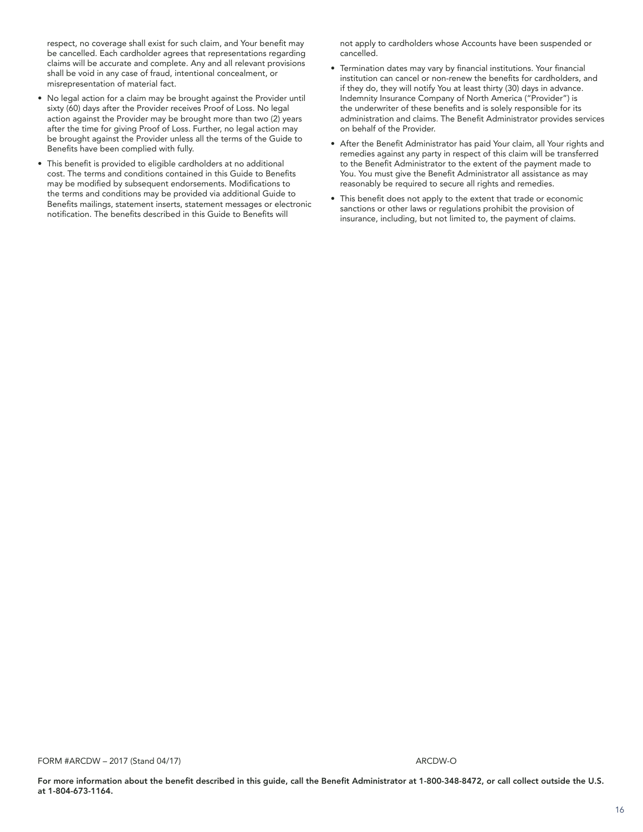respect, no coverage shall exist for such claim, and Your benefit may be cancelled. Each cardholder agrees that representations regarding claims will be accurate and complete. Any and all relevant provisions shall be void in any case of fraud, intentional concealment, or misrepresentation of material fact.

- No legal action for a claim may be brought against the Provider until sixty (60) days after the Provider receives Proof of Loss. No legal action against the Provider may be brought more than two (2) years after the time for giving Proof of Loss. Further, no legal action may be brought against the Provider unless all the terms of the Guide to Benefits have been complied with fully.
- This benefit is provided to eligible cardholders at no additional cost. The terms and conditions contained in this Guide to Benefits may be modified by subsequent endorsements. Modifications to the terms and conditions may be provided via additional Guide to Benefits mailings, statement inserts, statement messages or electronic notification. The benefits described in this Guide to Benefits will

not apply to cardholders whose Accounts have been suspended or cancelled.

- Termination dates may vary by financial institutions. Your financial institution can cancel or non-renew the benefits for cardholders, and if they do, they will notify You at least thirty (30) days in advance. Indemnity Insurance Company of North America ("Provider") is the underwriter of these benefits and is solely responsible for its administration and claims. The Benefit Administrator provides services on behalf of the Provider.
- After the Benefit Administrator has paid Your claim, all Your rights and remedies against any party in respect of this claim will be transferred to the Benefit Administrator to the extent of the payment made to You. You must give the Benefit Administrator all assistance as may reasonably be required to secure all rights and remedies.
- This benefit does not apply to the extent that trade or economic sanctions or other laws or regulations prohibit the provision of insurance, including, but not limited to, the payment of claims.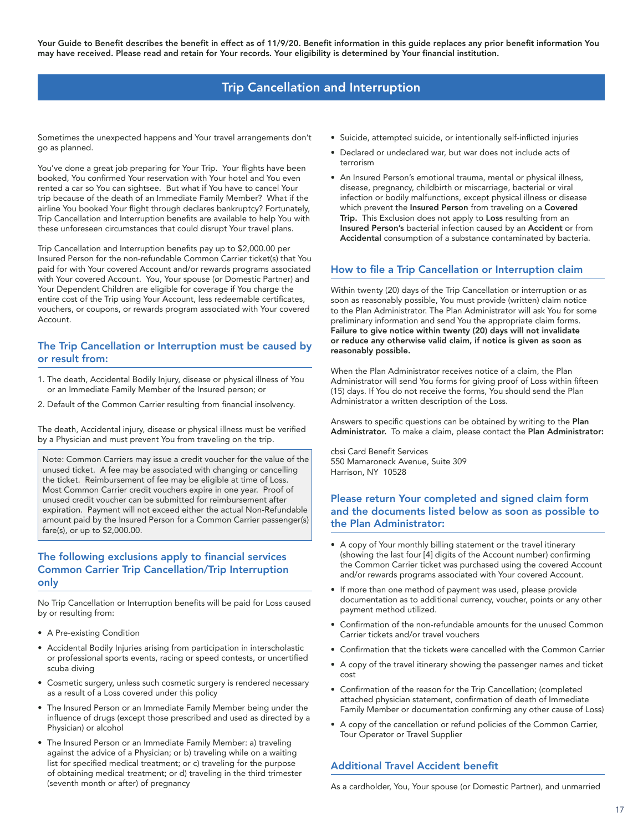# Trip Cancellation and Interruption

<span id="page-16-0"></span>Sometimes the unexpected happens and Your travel arrangements don't go as planned.

You've done a great job preparing for Your Trip. Your flights have been booked, You confirmed Your reservation with Your hotel and You even rented a car so You can sightsee. But what if You have to cancel Your trip because of the death of an Immediate Family Member? What if the airline You booked Your flight through declares bankruptcy? Fortunately, Trip Cancellation and Interruption benefits are available to help You with these unforeseen circumstances that could disrupt Your travel plans.

Trip Cancellation and Interruption benefits pay up to \$2,000.00 per Insured Person for the non-refundable Common Carrier ticket(s) that You paid for with Your covered Account and/or rewards programs associated with Your covered Account. You, Your spouse (or Domestic Partner) and Your Dependent Children are eligible for coverage if You charge the entire cost of the Trip using Your Account, less redeemable certificates, vouchers, or coupons, or rewards program associated with Your covered Account.

### The Trip Cancellation or Interruption must be caused by or result from:

- 1. The death, Accidental Bodily Injury, disease or physical illness of You or an Immediate Family Member of the Insured person; or
- 2. Default of the Common Carrier resulting from financial insolvency.

The death, Accidental injury, disease or physical illness must be verified by a Physician and must prevent You from traveling on the trip.

Note: Common Carriers may issue a credit voucher for the value of the unused ticket. A fee may be associated with changing or cancelling the ticket. Reimbursement of fee may be eligible at time of Loss. Most Common Carrier credit vouchers expire in one year. Proof of unused credit voucher can be submitted for reimbursement after expiration. Payment will not exceed either the actual Non-Refundable amount paid by the Insured Person for a Common Carrier passenger(s) fare(s), or up to \$2,000.00.

# The following exclusions apply to financial services Common Carrier Trip Cancellation/Trip Interruption only

No Trip Cancellation or Interruption benefits will be paid for Loss caused by or resulting from:

- A Pre-existing Condition
- Accidental Bodily Injuries arising from participation in interscholastic or professional sports events, racing or speed contests, or uncertified scuba diving
- Cosmetic surgery, unless such cosmetic surgery is rendered necessary as a result of a Loss covered under this policy
- The Insured Person or an Immediate Family Member being under the influence of drugs (except those prescribed and used as directed by a Physician) or alcohol
- The Insured Person or an Immediate Family Member: a) traveling against the advice of a Physician; or b) traveling while on a waiting list for specified medical treatment; or c) traveling for the purpose of obtaining medical treatment; or d) traveling in the third trimester (seventh month or after) of pregnancy
- Suicide, attempted suicide, or intentionally self-inflicted injuries
- Declared or undeclared war, but war does not include acts of terrorism
- An Insured Person's emotional trauma, mental or physical illness, disease, pregnancy, childbirth or miscarriage, bacterial or viral infection or bodily malfunctions, except physical illness or disease which prevent the Insured Person from traveling on a Covered Trip. This Exclusion does not apply to Loss resulting from an Insured Person's bacterial infection caused by an Accident or from Accidental consumption of a substance contaminated by bacteria.

# How to file a Trip Cancellation or Interruption claim

Within twenty (20) days of the Trip Cancellation or interruption or as soon as reasonably possible, You must provide (written) claim notice to the Plan Administrator. The Plan Administrator will ask You for some preliminary information and send You the appropriate claim forms. Failure to give notice within twenty (20) days will not invalidate or reduce any otherwise valid claim, if notice is given as soon as reasonably possible.

When the Plan Administrator receives notice of a claim, the Plan Administrator will send You forms for giving proof of Loss within fifteen (15) days. If You do not receive the forms, You should send the Plan Administrator a written description of the Loss.

Answers to specific questions can be obtained by writing to the Plan Administrator. To make a claim, please contact the Plan Administrator:

cbsi Card Benefit Services 550 Mamaroneck Avenue, Suite 309 Harrison, NY 10528

# Please return Your completed and signed claim form and the documents listed below as soon as possible to the Plan Administrator:

- A copy of Your monthly billing statement or the travel itinerary (showing the last four [4] digits of the Account number) confirming the Common Carrier ticket was purchased using the covered Account and/or rewards programs associated with Your covered Account.
- If more than one method of payment was used, please provide documentation as to additional currency, voucher, points or any other payment method utilized.
- Confirmation of the non-refundable amounts for the unused Common Carrier tickets and/or travel vouchers
- Confirmation that the tickets were cancelled with the Common Carrier
- A copy of the travel itinerary showing the passenger names and ticket cost
- Confirmation of the reason for the Trip Cancellation; (completed attached physician statement, confirmation of death of Immediate Family Member or documentation confirming any other cause of Loss)
- A copy of the cancellation or refund policies of the Common Carrier, Tour Operator or Travel Supplier

# Additional Travel Accident benefit

As a cardholder, You, Your spouse (or Domestic Partner), and unmarried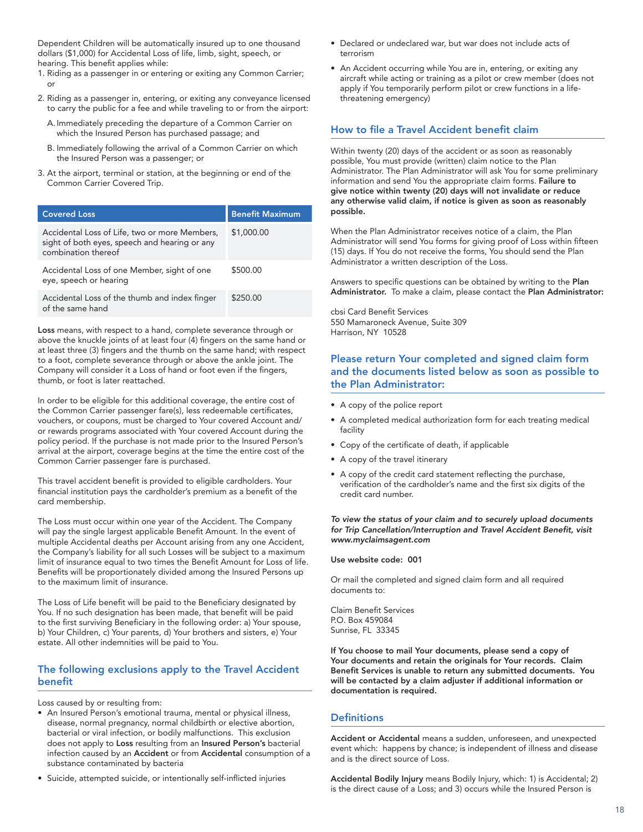Dependent Children will be automatically insured up to one thousand dollars (\$1,000) for Accidental Loss of life, limb, sight, speech, or hearing. This benefit applies while:

- 1. Riding as a passenger in or entering or exiting any Common Carrier; or
- 2. Riding as a passenger in, entering, or exiting any conveyance licensed to carry the public for a fee and while traveling to or from the airport:
	- A. Immediately preceding the departure of a Common Carrier on which the Insured Person has purchased passage; and
	- B. Immediately following the arrival of a Common Carrier on which the Insured Person was a passenger; or
- 3. At the airport, terminal or station, at the beginning or end of the Common Carrier Covered Trip.

| <b>Covered Loss</b>                                                                                                   | <b>Benefit Maximum</b> |
|-----------------------------------------------------------------------------------------------------------------------|------------------------|
| Accidental Loss of Life, two or more Members,<br>sight of both eyes, speech and hearing or any<br>combination thereof | \$1,000.00             |
| Accidental Loss of one Member, sight of one<br>eye, speech or hearing                                                 | \$500.00               |
| Accidental Loss of the thumb and index finger<br>of the same hand                                                     | \$250.00               |

Loss means, with respect to a hand, complete severance through or above the knuckle joints of at least four (4) fingers on the same hand or at least three (3) fingers and the thumb on the same hand; with respect to a foot, complete severance through or above the ankle joint. The Company will consider it a Loss of hand or foot even if the fingers, thumb, or foot is later reattached.

In order to be eligible for this additional coverage, the entire cost of the Common Carrier passenger fare(s), less redeemable certificates, vouchers, or coupons, must be charged to Your covered Account and/ or rewards programs associated with Your covered Account during the policy period. If the purchase is not made prior to the Insured Person's arrival at the airport, coverage begins at the time the entire cost of the Common Carrier passenger fare is purchased.

This travel accident benefit is provided to eligible cardholders. Your financial institution pays the cardholder's premium as a benefit of the card membership.

The Loss must occur within one year of the Accident. The Company will pay the single largest applicable Benefit Amount. In the event of multiple Accidental deaths per Account arising from any one Accident, the Company's liability for all such Losses will be subject to a maximum limit of insurance equal to two times the Benefit Amount for Loss of life. Benefits will be proportionately divided among the Insured Persons up to the maximum limit of insurance.

The Loss of Life benefit will be paid to the Beneficiary designated by You. If no such designation has been made, that benefit will be paid to the first surviving Beneficiary in the following order: a) Your spouse, b) Your Children, c) Your parents, d) Your brothers and sisters, e) Your estate. All other indemnities will be paid to You.

### The following exclusions apply to the Travel Accident benefit

Loss caused by or resulting from:

- An Insured Person's emotional trauma, mental or physical illness, disease, normal pregnancy, normal childbirth or elective abortion, bacterial or viral infection, or bodily malfunctions. This exclusion does not apply to Loss resulting from an Insured Person's bacterial infection caused by an Accident or from Accidental consumption of a substance contaminated by bacteria
- Suicide, attempted suicide, or intentionally self-inflicted injuries
- Declared or undeclared war, but war does not include acts of terrorism
- An Accident occurring while You are in, entering, or exiting any aircraft while acting or training as a pilot or crew member (does not apply if You temporarily perform pilot or crew functions in a lifethreatening emergency)

### How to file a Travel Accident benefit claim

Within twenty (20) days of the accident or as soon as reasonably possible, You must provide (written) claim notice to the Plan Administrator. The Plan Administrator will ask You for some preliminary information and send You the appropriate claim forms. Failure to give notice within twenty (20) days will not invalidate or reduce any otherwise valid claim, if notice is given as soon as reasonably possible.

When the Plan Administrator receives notice of a claim, the Plan Administrator will send You forms for giving proof of Loss within fifteen (15) days. If You do not receive the forms, You should send the Plan Administrator a written description of the Loss.

Answers to specific questions can be obtained by writing to the Plan Administrator. To make a claim, please contact the Plan Administrator:

cbsi Card Benefit Services 550 Mamaroneck Avenue, Suite 309 Harrison, NY 10528

# Please return Your completed and signed claim form and the documents listed below as soon as possible to the Plan Administrator:

- A copy of the police report
- A completed medical authorization form for each treating medical facility
- Copy of the certificate of death, if applicable
- A copy of the travel itinerary
- A copy of the credit card statement reflecting the purchase, verification of the cardholder's name and the first six digits of the credit card number.

### To view the status of your claim and to securely upload documents for Trip Cancellation/Interruption and Travel Accident Benefit, visit www.myclaimsagent.com

#### Use website code: 001

Or mail the completed and signed claim form and all required documents to:

Claim Benefit Services P.O. Box 459084 Sunrise, FL 33345

If You choose to mail Your documents, please send a copy of Your documents and retain the originals for Your records. Claim Benefit Services is unable to return any submitted documents. You will be contacted by a claim adjuster if additional information or documentation is required.

### **Definitions**

Accident or Accidental means a sudden, unforeseen, and unexpected event which: happens by chance; is independent of illness and disease and is the direct source of Loss.

Accidental Bodily Injury means Bodily Injury, which: 1) is Accidental; 2) is the direct cause of a Loss; and 3) occurs while the Insured Person is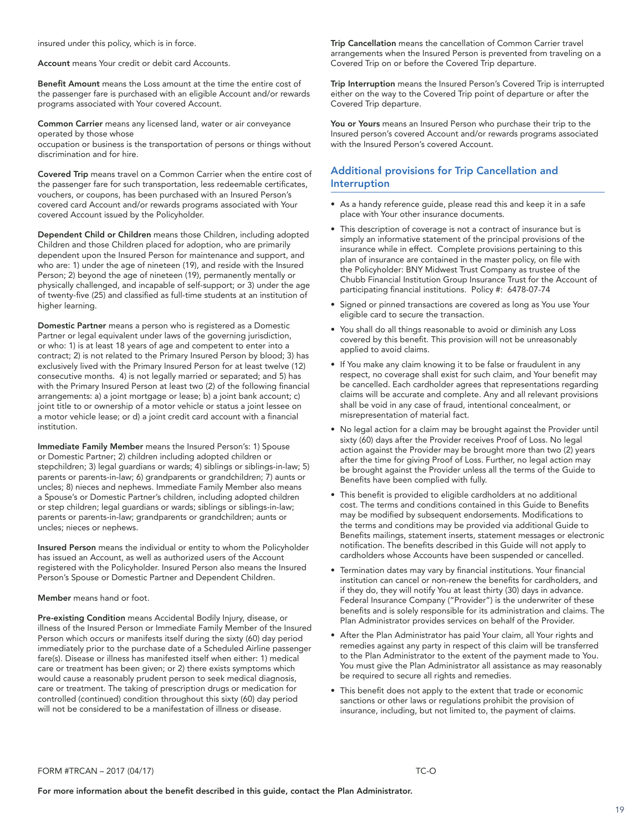insured under this policy, which is in force.

Account means Your credit or debit card Accounts.

Benefit Amount means the Loss amount at the time the entire cost of the passenger fare is purchased with an eligible Account and/or rewards programs associated with Your covered Account.

Common Carrier means any licensed land, water or air conveyance operated by those whose

occupation or business is the transportation of persons or things without discrimination and for hire.

Covered Trip means travel on a Common Carrier when the entire cost of the passenger fare for such transportation, less redeemable certificates, vouchers, or coupons, has been purchased with an Insured Person's covered card Account and/or rewards programs associated with Your covered Account issued by the Policyholder.

Dependent Child or Children means those Children, including adopted Children and those Children placed for adoption, who are primarily dependent upon the Insured Person for maintenance and support, and who are: 1) under the age of nineteen (19), and reside with the Insured Person; 2) beyond the age of nineteen (19), permanently mentally or physically challenged, and incapable of self-support; or 3) under the age of twenty-five (25) and classified as full-time students at an institution of higher learning.

Domestic Partner means a person who is registered as a Domestic Partner or legal equivalent under laws of the governing jurisdiction, or who: 1) is at least 18 years of age and competent to enter into a contract; 2) is not related to the Primary Insured Person by blood; 3) has exclusively lived with the Primary Insured Person for at least twelve (12) consecutive months. 4) is not legally married or separated; and 5) has with the Primary Insured Person at least two (2) of the following financial arrangements: a) a joint mortgage or lease; b) a joint bank account; c) joint title to or ownership of a motor vehicle or status a joint lessee on a motor vehicle lease; or d) a joint credit card account with a financial institution.

Immediate Family Member means the Insured Person's: 1) Spouse or Domestic Partner; 2) children including adopted children or stepchildren; 3) legal guardians or wards; 4) siblings or siblings-in-law; 5) parents or parents-in-law; 6) grandparents or grandchildren; 7) aunts or uncles; 8) nieces and nephews. Immediate Family Member also means a Spouse's or Domestic Partner's children, including adopted children or step children; legal guardians or wards; siblings or siblings-in-law; parents or parents-in-law; grandparents or grandchildren; aunts or uncles; nieces or nephews.

Insured Person means the individual or entity to whom the Policyholder has issued an Account, as well as authorized users of the Account registered with the Policyholder. Insured Person also means the Insured Person's Spouse or Domestic Partner and Dependent Children.

Member means hand or foot.

Pre-existing Condition means Accidental Bodily Injury, disease, or illness of the Insured Person or Immediate Family Member of the Insured Person which occurs or manifests itself during the sixty (60) day period immediately prior to the purchase date of a Scheduled Airline passenger fare(s). Disease or illness has manifested itself when either: 1) medical care or treatment has been given; or 2) there exists symptoms which would cause a reasonably prudent person to seek medical diagnosis, care or treatment. The taking of prescription drugs or medication for controlled (continued) condition throughout this sixty (60) day period will not be considered to be a manifestation of illness or disease.

Trip Cancellation means the cancellation of Common Carrier travel arrangements when the Insured Person is prevented from traveling on a Covered Trip on or before the Covered Trip departure.

Trip Interruption means the Insured Person's Covered Trip is interrupted either on the way to the Covered Trip point of departure or after the Covered Trip departure.

You or Yours means an Insured Person who purchase their trip to the Insured person's covered Account and/or rewards programs associated with the Insured Person's covered Account.

# Additional provisions for Trip Cancellation and Interruption

- As a handy reference guide, please read this and keep it in a safe place with Your other insurance documents.
- This description of coverage is not a contract of insurance but is simply an informative statement of the principal provisions of the insurance while in effect. Complete provisions pertaining to this plan of insurance are contained in the master policy, on file with the Policyholder: BNY Midwest Trust Company as trustee of the Chubb Financial Institution Group Insurance Trust for the Account of participating financial institutions. Policy #: 6478-07-74
- Signed or pinned transactions are covered as long as You use Your eligible card to secure the transaction.
- You shall do all things reasonable to avoid or diminish any Loss covered by this benefit. This provision will not be unreasonably applied to avoid claims.
- If You make any claim knowing it to be false or fraudulent in any respect, no coverage shall exist for such claim, and Your benefit may be cancelled. Each cardholder agrees that representations regarding claims will be accurate and complete. Any and all relevant provisions shall be void in any case of fraud, intentional concealment, or misrepresentation of material fact.
- No legal action for a claim may be brought against the Provider until sixty (60) days after the Provider receives Proof of Loss. No legal action against the Provider may be brought more than two (2) years after the time for giving Proof of Loss. Further, no legal action may be brought against the Provider unless all the terms of the Guide to Benefits have been complied with fully.
- This benefit is provided to eligible cardholders at no additional cost. The terms and conditions contained in this Guide to Benefits may be modified by subsequent endorsements. Modifications to the terms and conditions may be provided via additional Guide to Benefits mailings, statement inserts, statement messages or electronic notification. The benefits described in this Guide will not apply to cardholders whose Accounts have been suspended or cancelled.
- Termination dates may vary by financial institutions. Your financial institution can cancel or non-renew the benefits for cardholders, and if they do, they will notify You at least thirty (30) days in advance. Federal Insurance Company ("Provider") is the underwriter of these benefits and is solely responsible for its administration and claims. The Plan Administrator provides services on behalf of the Provider.
- After the Plan Administrator has paid Your claim, all Your rights and remedies against any party in respect of this claim will be transferred to the Plan Administrator to the extent of the payment made to You. You must give the Plan Administrator all assistance as may reasonably be required to secure all rights and remedies.
- This benefit does not apply to the extent that trade or economic sanctions or other laws or regulations prohibit the provision of insurance, including, but not limited to, the payment of claims.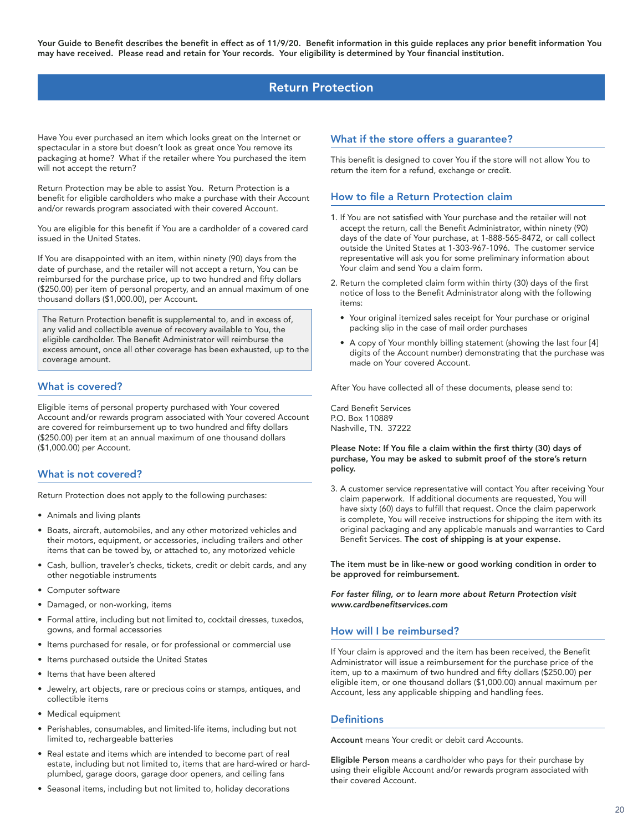# Return Protection

<span id="page-19-0"></span>Have You ever purchased an item which looks great on the Internet or spectacular in a store but doesn't look as great once You remove its packaging at home? What if the retailer where You purchased the item will not accept the return?

Return Protection may be able to assist You. Return Protection is a benefit for eligible cardholders who make a purchase with their Account and/or rewards program associated with their covered Account.

You are eligible for this benefit if You are a cardholder of a covered card issued in the United States.

If You are disappointed with an item, within ninety (90) days from the date of purchase, and the retailer will not accept a return, You can be reimbursed for the purchase price, up to two hundred and fifty dollars (\$250.00) per item of personal property, and an annual maximum of one thousand dollars (\$1,000.00), per Account.

The Return Protection benefit is supplemental to, and in excess of, any valid and collectible avenue of recovery available to You, the eligible cardholder. The Benefit Administrator will reimburse the excess amount, once all other coverage has been exhausted, up to the coverage amount.

### What is covered?

Eligible items of personal property purchased with Your covered Account and/or rewards program associated with Your covered Account are covered for reimbursement up to two hundred and fifty dollars (\$250.00) per item at an annual maximum of one thousand dollars (\$1,000.00) per Account.

### What is not covered?

Return Protection does not apply to the following purchases:

- Animals and living plants
- Boats, aircraft, automobiles, and any other motorized vehicles and their motors, equipment, or accessories, including trailers and other items that can be towed by, or attached to, any motorized vehicle
- Cash, bullion, traveler's checks, tickets, credit or debit cards, and any other negotiable instruments
- Computer software
- Damaged, or non-working, items
- Formal attire, including but not limited to, cocktail dresses, tuxedos, gowns, and formal accessories
- Items purchased for resale, or for professional or commercial use
- Items purchased outside the United States
- Items that have been altered
- Jewelry, art objects, rare or precious coins or stamps, antiques, and collectible items
- Medical equipment
- Perishables, consumables, and limited-life items, including but not limited to, rechargeable batteries
- Real estate and items which are intended to become part of real estate, including but not limited to, items that are hard-wired or hardplumbed, garage doors, garage door openers, and ceiling fans
- Seasonal items, including but not limited to, holiday decorations

### What if the store offers a guarantee?

This benefit is designed to cover You if the store will not allow You to return the item for a refund, exchange or credit.

### How to file a Return Protection claim

- 1. If You are not satisfied with Your purchase and the retailer will not accept the return, call the Benefit Administrator, within ninety (90) days of the date of Your purchase, at 1-888-565-8472, or call collect outside the United States at 1-303-967-1096. The customer service representative will ask you for some preliminary information about Your claim and send You a claim form.
- 2. Return the completed claim form within thirty (30) days of the first notice of loss to the Benefit Administrator along with the following items:
	- Your original itemized sales receipt for Your purchase or original packing slip in the case of mail order purchases
	- A copy of Your monthly billing statement (showing the last four [4] digits of the Account number) demonstrating that the purchase was made on Your covered Account.

After You have collected all of these documents, please send to:

Card Benefit Services P.O. Box 110889 Nashville, TN. 37222

#### Please Note: If You file a claim within the first thirty (30) days of purchase, You may be asked to submit proof of the store's return policy.

3. A customer service representative will contact You after receiving Your claim paperwork. If additional documents are requested, You will have sixty (60) days to fulfill that request. Once the claim paperwork is complete, You will receive instructions for shipping the item with its original packaging and any applicable manuals and warranties to Card Benefit Services. The cost of shipping is at your expense.

The item must be in like-new or good working condition in order to be approved for reimbursement.

For faster filing, or to learn more about Return Protection visit www.cardbenefitservices.com

### How will I be reimbursed?

If Your claim is approved and the item has been received, the Benefit Administrator will issue a reimbursement for the purchase price of the item, up to a maximum of two hundred and fifty dollars (\$250.00) per eligible item, or one thousand dollars (\$1,000.00) annual maximum per Account, less any applicable shipping and handling fees.

### **Definitions**

Account means Your credit or debit card Accounts.

Eligible Person means a cardholder who pays for their purchase by using their eligible Account and/or rewards program associated with their covered Account.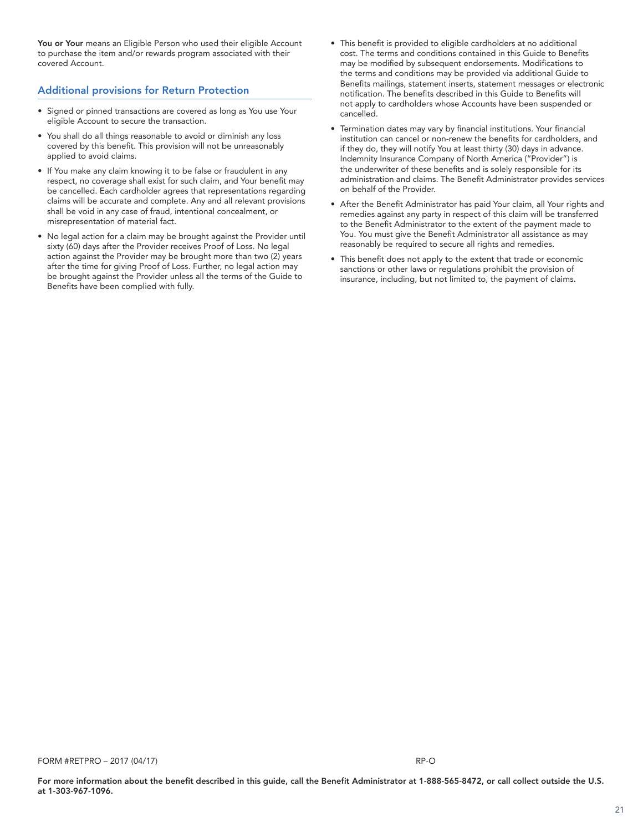You or Your means an Eligible Person who used their eligible Account to purchase the item and/or rewards program associated with their covered Account.

# Additional provisions for Return Protection

- Signed or pinned transactions are covered as long as You use Your eligible Account to secure the transaction.
- You shall do all things reasonable to avoid or diminish any loss covered by this benefit. This provision will not be unreasonably applied to avoid claims.
- If You make any claim knowing it to be false or fraudulent in any respect, no coverage shall exist for such claim, and Your benefit may be cancelled. Each cardholder agrees that representations regarding claims will be accurate and complete. Any and all relevant provisions shall be void in any case of fraud, intentional concealment, or misrepresentation of material fact.
- No legal action for a claim may be brought against the Provider until sixty (60) days after the Provider receives Proof of Loss. No legal action against the Provider may be brought more than two (2) years after the time for giving Proof of Loss. Further, no legal action may be brought against the Provider unless all the terms of the Guide to Benefits have been complied with fully.
- This benefit is provided to eligible cardholders at no additional cost. The terms and conditions contained in this Guide to Benefits may be modified by subsequent endorsements. Modifications to the terms and conditions may be provided via additional Guide to Benefits mailings, statement inserts, statement messages or electronic notification. The benefits described in this Guide to Benefits will not apply to cardholders whose Accounts have been suspended or cancelled.
- Termination dates may vary by financial institutions. Your financial institution can cancel or non-renew the benefits for cardholders, and if they do, they will notify You at least thirty (30) days in advance. Indemnity Insurance Company of North America ("Provider") is the underwriter of these benefits and is solely responsible for its administration and claims. The Benefit Administrator provides services on behalf of the Provider.
- After the Benefit Administrator has paid Your claim, all Your rights and remedies against any party in respect of this claim will be transferred to the Benefit Administrator to the extent of the payment made to You. You must give the Benefit Administrator all assistance as may reasonably be required to secure all rights and remedies.
- This benefit does not apply to the extent that trade or economic sanctions or other laws or regulations prohibit the provision of insurance, including, but not limited to, the payment of claims.

FORM #RETPRO – 2017 (04/17) RP-O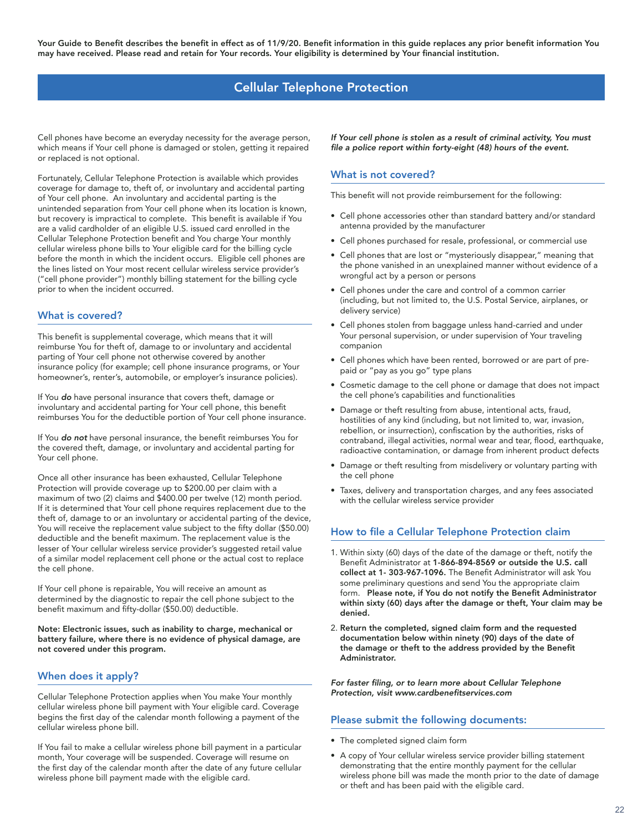# Cellular Telephone Protection

<span id="page-21-0"></span>Cell phones have become an everyday necessity for the average person, which means if Your cell phone is damaged or stolen, getting it repaired or replaced is not optional.

Fortunately, Cellular Telephone Protection is available which provides coverage for damage to, theft of, or involuntary and accidental parting of Your cell phone. An involuntary and accidental parting is the unintended separation from Your cell phone when its location is known, but recovery is impractical to complete. This benefit is available if You are a valid cardholder of an eligible U.S. issued card enrolled in the Cellular Telephone Protection benefit and You charge Your monthly cellular wireless phone bills to Your eligible card for the billing cycle before the month in which the incident occurs. Eligible cell phones are the lines listed on Your most recent cellular wireless service provider's ("cell phone provider") monthly billing statement for the billing cycle prior to when the incident occurred.

### What is covered?

This benefit is supplemental coverage, which means that it will reimburse You for theft of, damage to or involuntary and accidental parting of Your cell phone not otherwise covered by another insurance policy (for example; cell phone insurance programs, or Your homeowner's, renter's, automobile, or employer's insurance policies).

If You do have personal insurance that covers theft, damage or involuntary and accidental parting for Your cell phone, this benefit reimburses You for the deductible portion of Your cell phone insurance.

If You do not have personal insurance, the benefit reimburses You for the covered theft, damage, or involuntary and accidental parting for Your cell phone.

Once all other insurance has been exhausted, Cellular Telephone Protection will provide coverage up to \$200.00 per claim with a maximum of two (2) claims and \$400.00 per twelve (12) month period. If it is determined that Your cell phone requires replacement due to the theft of, damage to or an involuntary or accidental parting of the device, You will receive the replacement value subject to the fifty dollar (\$50.00) deductible and the benefit maximum. The replacement value is the lesser of Your cellular wireless service provider's suggested retail value of a similar model replacement cell phone or the actual cost to replace the cell phone.

If Your cell phone is repairable, You will receive an amount as determined by the diagnostic to repair the cell phone subject to the benefit maximum and fifty-dollar (\$50.00) deductible.

Note: Electronic issues, such as inability to charge, mechanical or battery failure, where there is no evidence of physical damage, are not covered under this program.

### When does it apply?

Cellular Telephone Protection applies when You make Your monthly cellular wireless phone bill payment with Your eligible card. Coverage begins the first day of the calendar month following a payment of the cellular wireless phone bill.

If You fail to make a cellular wireless phone bill payment in a particular month, Your coverage will be suspended. Coverage will resume on the first day of the calendar month after the date of any future cellular wireless phone bill payment made with the eligible card.

If Your cell phone is stolen as a result of criminal activity, You must file a police report within forty-eight (48) hours of the event.

### What is not covered?

This benefit will not provide reimbursement for the following:

- Cell phone accessories other than standard battery and/or standard antenna provided by the manufacturer
- Cell phones purchased for resale, professional, or commercial use
- Cell phones that are lost or "mysteriously disappear," meaning that the phone vanished in an unexplained manner without evidence of a wrongful act by a person or persons
- Cell phones under the care and control of a common carrier (including, but not limited to, the U.S. Postal Service, airplanes, or delivery service)
- Cell phones stolen from baggage unless hand-carried and under Your personal supervision, or under supervision of Your traveling companion
- Cell phones which have been rented, borrowed or are part of prepaid or "pay as you go" type plans
- Cosmetic damage to the cell phone or damage that does not impact the cell phone's capabilities and functionalities
- Damage or theft resulting from abuse, intentional acts, fraud, hostilities of any kind (including, but not limited to, war, invasion, rebellion, or insurrection), confiscation by the authorities, risks of contraband, illegal activities, normal wear and tear, flood, earthquake, radioactive contamination, or damage from inherent product defects
- Damage or theft resulting from misdelivery or voluntary parting with the cell phone
- Taxes, delivery and transportation charges, and any fees associated with the cellular wireless service provider

### How to file a Cellular Telephone Protection claim

- 1. Within sixty (60) days of the date of the damage or theft, notify the Benefit Administrator at 1-866-894-8569 or outside the U.S. call collect at 1- 303-967-1096. The Benefit Administrator will ask You some preliminary questions and send You the appropriate claim form. Please note, if You do not notify the Benefit Administrator within sixty (60) days after the damage or theft, Your claim may be denied.
- 2. Return the completed, signed claim form and the requested documentation below within ninety (90) days of the date of the damage or theft to the address provided by the Benefit Administrator.

For faster filing, or to learn more about Cellular Telephone Protection, visit www.cardbenefitservices.com

#### Please submit the following documents:

- The completed signed claim form
- A copy of Your cellular wireless service provider billing statement demonstrating that the entire monthly payment for the cellular wireless phone bill was made the month prior to the date of damage or theft and has been paid with the eligible card.